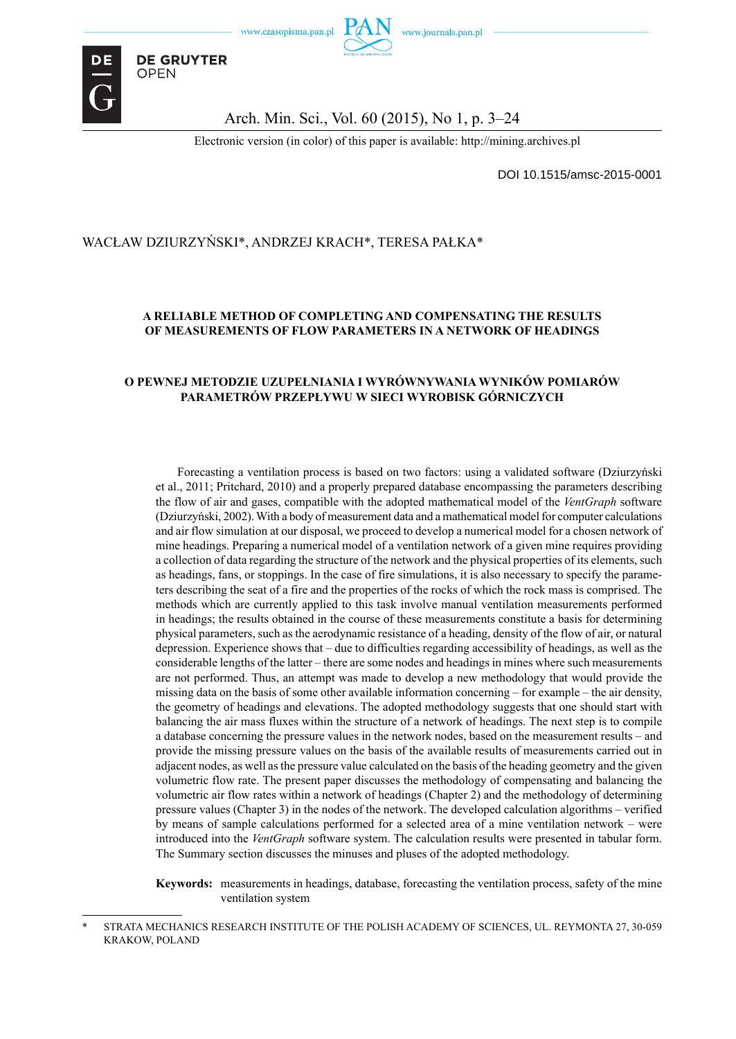



**DE GRUYTER** 

**OPEN** 

Arch. Min. Sci., Vol. 60 (2015), No 1, p. 3–24

Electronic version (in color) of this paper is available: http://mining.archives.pl

DOI 10.1515/amsc-2015-0001

#### WACŁAW DZIURZYŃSKI\*, ANDRZEJ KRACH\*, TERESA PAŁKA\*

#### **A RELIABLE METHOD OF COMPLETING AND COMPENSATING THE RESULTS OF MEASUREMENTS OF FLOW PARAMETERS IN A NETWORK OF HEADINGS**

#### **O PEWNEJ METODZIE UZUPEŁNIANIA I WYRÓWNYWANIA WYNIKÓW POMIARÓW PARAMETRÓW PRZEPŁYWU W SIECI WYROBISK GÓRNICZYCH**

Forecasting a ventilation process is based on two factors: using a validated software (Dziurzyński et al., 2011; Pritchard, 2010) and a properly prepared database encompassing the parameters describing the flow of air and gases, compatible with the adopted mathematical model of the *VentGraph* software (Dziurzyński, 2002). With a body of measurement data and a mathematical model for computer calculations and air flow simulation at our disposal, we proceed to develop a numerical model for a chosen network of mine headings. Preparing a numerical model of a ventilation network of a given mine requires providing a collection of data regarding the structure of the network and the physical properties of its elements, such as headings, fans, or stoppings. In the case of fire simulations, it is also necessary to specify the parameters describing the seat of a fire and the properties of the rocks of which the rock mass is comprised. The methods which are currently applied to this task involve manual ventilation measurements performed in headings; the results obtained in the course of these measurements constitute a basis for determining physical parameters, such as the aerodynamic resistance of a heading, density of the flow of air, or natural depression. Experience shows that – due to difficulties regarding accessibility of headings, as well as the considerable lengths of the latter – there are some nodes and headings in mines where such measurements are not performed. Thus, an attempt was made to develop a new methodology that would provide the missing data on the basis of some other available information concerning – for example – the air density, the geometry of headings and elevations. The adopted methodology suggests that one should start with balancing the air mass fluxes within the structure of a network of headings. The next step is to compile a database concerning the pressure values in the network nodes, based on the measurement results – and provide the missing pressure values on the basis of the available results of measurements carried out in adjacent nodes, as well as the pressure value calculated on the basis of the heading geometry and the given volumetric flow rate. The present paper discusses the methodology of compensating and balancing the volumetric air flow rates within a network of headings (Chapter 2) and the methodology of determining pressure values (Chapter 3) in the nodes of the network. The developed calculation algorithms – verified by means of sample calculations performed for a selected area of a mine ventilation network – were introduced into the *VentGraph* software system. The calculation results were presented in tabular form. The Summary section discusses the minuses and pluses of the adopted methodology.

**Keywords:** measurements in headings, database, forecasting the ventilation process, safety of the mine ventilation system

STRATA MECHANICS RESEARCH INSTITUTE OF THE POLISH ACADEMY OF SCIENCES, UL. REYMONTA 27, 30-059 KRAKOW, POLAND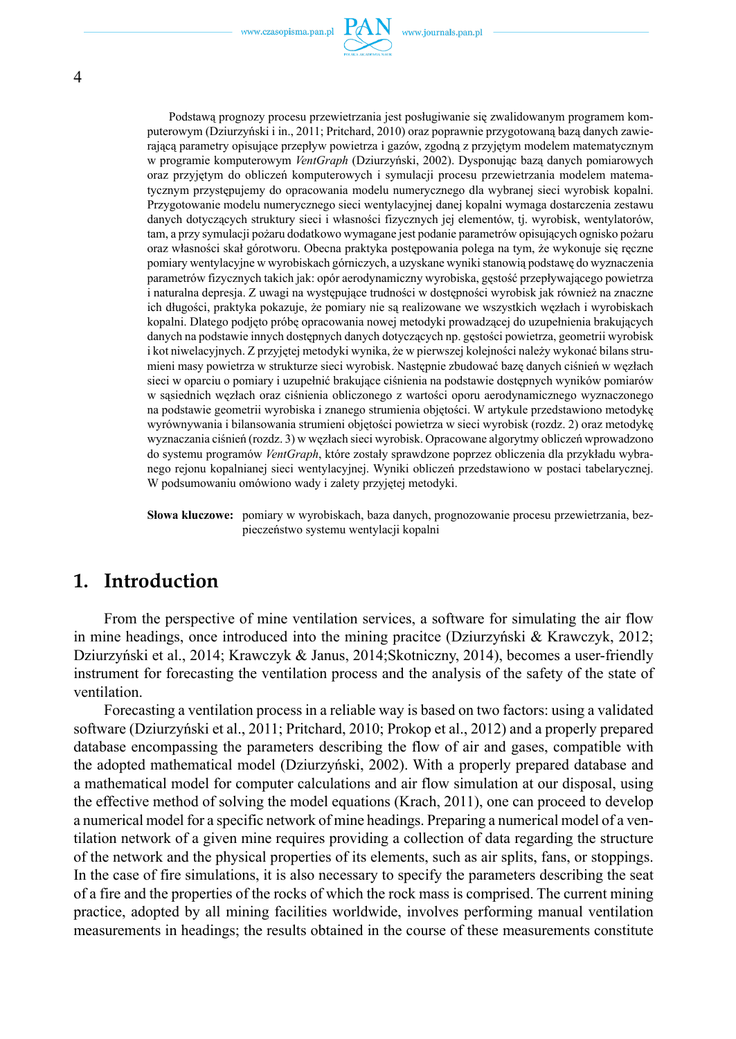

Podstawą prognozy procesu przewietrzania jest posługiwanie się zwalidowanym programem komputerowym (Dziurzyński i in., 2011; Pritchard, 2010) oraz poprawnie przygotowaną bazą danych zawierającą parametry opisujące przepływ powietrza i gazów, zgodną z przyjętym modelem matematycznym w programie komputerowym *VentGraph* (Dziurzyński, 2002). Dysponując bazą danych pomiarowych

oraz przyjętym do obliczeń komputerowych i symulacji procesu przewietrzania modelem matematycznym przystępujemy do opracowania modelu numerycznego dla wybranej sieci wyrobisk kopalni. Przygotowanie modelu numerycznego sieci wentylacyjnej danej kopalni wymaga dostarczenia zestawu danych dotyczących struktury sieci i własności fizycznych jej elementów, tj. wyrobisk, wentylatorów, tam, a przy symulacji pożaru dodatkowo wymagane jest podanie parametrów opisujących ognisko pożaru oraz własności skał górotworu. Obecna praktyka postępowania polega na tym, że wykonuje się ręczne pomiary wentylacyjne w wyrobiskach górniczych, a uzyskane wyniki stanowią podstawę do wyznaczenia parametrów fizycznych takich jak: opór aerodynamiczny wyrobiska, gęstość przepływającego powietrza i naturalna depresja. Z uwagi na występujące trudności w dostępności wyrobisk jak również na znaczne ich długości, praktyka pokazuje, że pomiary nie są realizowane we wszystkich węzłach i wyrobiskach kopalni. Dlatego podjęto próbę opracowania nowej metodyki prowadzącej do uzupełnienia brakujących danych na podstawie innych dostępnych danych dotyczących np. gęstości powietrza, geometrii wyrobisk i kot niwelacyjnych. Z przyjętej metodyki wynika, że w pierwszej kolejności należy wykonać bilans strumieni masy powietrza w strukturze sieci wyrobisk. Następnie zbudować bazę danych ciśnień w węzłach sieci w oparciu o pomiary i uzupełnić brakujące ciśnienia na podstawie dostępnych wyników pomiarów w sąsiednich węzłach oraz ciśnienia obliczonego z wartości oporu aerodynamicznego wyznaczonego na podstawie geometrii wyrobiska i znanego strumienia objętości. W artykule przedstawiono metodykę wyrównywania i bilansowania strumieni objętości powietrza w sieci wyrobisk (rozdz. 2) oraz metodykę wyznaczania ciśnień (rozdz. 3) w węzłach sieci wyrobisk. Opracowane algorytmy obliczeń wprowadzono do systemu programów *VentGraph*, które zostały sprawdzone poprzez obliczenia dla przykładu wybranego rejonu kopalnianej sieci wentylacyjnej. Wyniki obliczeń przedstawiono w postaci tabelarycznej. W podsumowaniu omówiono wady i zalety przyjętej metodyki.

**Słowa kluczowe:** pomiary w wyrobiskach, baza danych, prognozowanie procesu przewietrzania, bezpieczeństwo systemu wentylacji kopalni

## **1. Introduction**

From the perspective of mine ventilation services, a software for simulating the air flow in mine headings, once introduced into the mining pracitce (Dziurzyński & Krawczyk, 2012; Dziurzyński et al., 2014; Krawczyk & Janus, 2014;Skotniczny, 2014), becomes a user-friendly instrument for forecasting the ventilation process and the analysis of the safety of the state of ventilation.

Forecasting a ventilation process in a reliable way is based on two factors: using a validated software (Dziurzyński et al., 2011; Pritchard, 2010; Prokop et al., 2012) and a properly prepared database encompassing the parameters describing the flow of air and gases, compatible with the adopted mathematical model (Dziurzyński, 2002). With a properly prepared database and a mathematical model for computer calculations and air flow simulation at our disposal, using the effective method of solving the model equations (Krach, 2011), one can proceed to develop a numerical model for a specific network of mine headings. Preparing a numerical model of a ventilation network of a given mine requires providing a collection of data regarding the structure of the network and the physical properties of its elements, such as air splits, fans, or stoppings. In the case of fire simulations, it is also necessary to specify the parameters describing the seat of a fire and the properties of the rocks of which the rock mass is comprised. The current mining practice, adopted by all mining facilities worldwide, involves performing manual ventilation measurements in headings; the results obtained in the course of these measurements constitute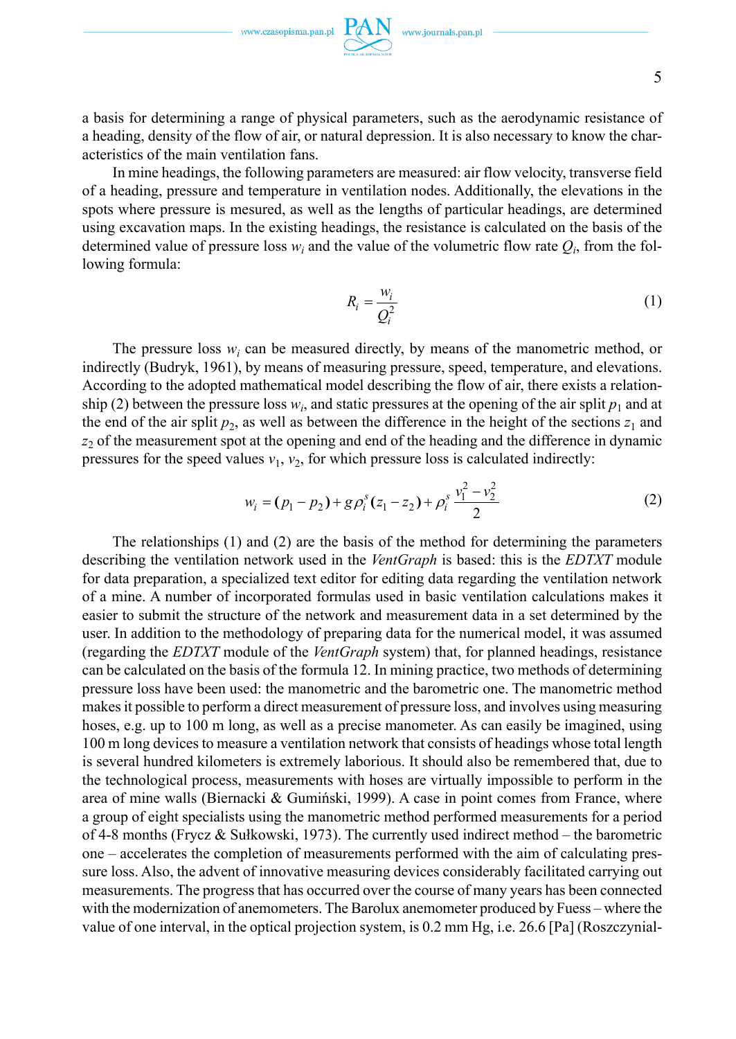$\begin{picture}(120,110) \put(0,0){\dashbox{0.5}(120,0){ }} \put(15,0){\circle{10}} \put(15,0){\circle{10}} \put(15,0){\circle{10}} \put(15,0){\circle{10}} \put(15,0){\circle{10}} \put(15,0){\circle{10}} \put(15,0){\circle{10}} \put(15,0){\circle{10}} \put(15,0){\circle{10}} \put(15,0){\circle{10}} \put(15,0){\circle{10}} \put(15,0){\circle{10}} \put(15,0){\circle{10}} \put($ 

a basis for determining a range of physical parameters, such as the aerodynamic resistance of a heading, density of the flow of air, or natural depression. It is also necessary to know the characteristics of the main ventilation fans.

In mine headings, the following parameters are measured: air flow velocity, transverse field of a heading, pressure and temperature in ventilation nodes. Additionally, the elevations in the spots where pressure is mesured, as well as the lengths of particular headings, are determined using excavation maps. In the existing headings, the resistance is calculated on the basis of the determined value of pressure loss  $w_i$  and the value of the volumetric flow rate  $Q_i$ , from the following formula:

$$
R_i = \frac{w_i}{Q_i^2} \tag{1}
$$

The pressure loss  $w_i$  can be measured directly, by means of the manometric method, or indirectly (Budryk, 1961), by means of measuring pressure, speed, temperature, and elevations. According to the adopted mathematical model describing the flow of air, there exists a relationship (2) between the pressure loss  $w_i$ , and static pressures at the opening of the air split  $p_1$  and at the end of the air split  $p_2$ , as well as between the difference in the height of the sections  $z_1$  and  $z<sub>2</sub>$  of the measurement spot at the opening and end of the heading and the difference in dynamic pressures for the speed values  $v_1$ ,  $v_2$ , for which pressure loss is calculated indirectly:

$$
w_i = (p_1 - p_2) + g\rho_i^s (z_1 - z_2) + \rho_i^s \frac{v_1^2 - v_2^2}{2}
$$
 (2)

The relationships (1) and (2) are the basis of the method for determining the parameters describing the ventilation network used in the *VentGraph* is based: this is the *EDTXT* module for data preparation, a specialized text editor for editing data regarding the ventilation network of a mine. A number of incorporated formulas used in basic ventilation calculations makes it easier to submit the structure of the network and measurement data in a set determined by the user. In addition to the methodology of preparing data for the numerical model, it was assumed (regarding the *EDTXT* module of the *VentGraph* system) that, for planned headings, resistance can be calculated on the basis of the formula 12. In mining practice, two methods of determining pressure loss have been used: the manometric and the barometric one. The manometric method makes it possible to perform a direct measurement of pressure loss, and involves using measuring hoses, e.g. up to 100 m long, as well as a precise manometer. As can easily be imagined, using 100 m long devices to measure a ventilation network that consists of headings whose total length is several hundred kilometers is extremely laborious. It should also be remembered that, due to the technological process, measurements with hoses are virtually impossible to perform in the area of mine walls (Biernacki & Gumiński, 1999). A case in point comes from France, where a group of eight specialists using the manometric method performed measurements for a period of 4-8 months (Frycz & Sułkowski, 1973). The currently used indirect method – the barometric one – accelerates the completion of measurements performed with the aim of calculating pressure loss. Also, the advent of innovative measuring devices considerably facilitated carrying out measurements. The progress that has occurred over the course of many years has been connected with the modernization of anemometers. The Barolux anemometer produced by Fuess – where the value of one interval, in the optical projection system, is 0.2 mm Hg, i.e. 26.6 [Pa] (Roszczynial-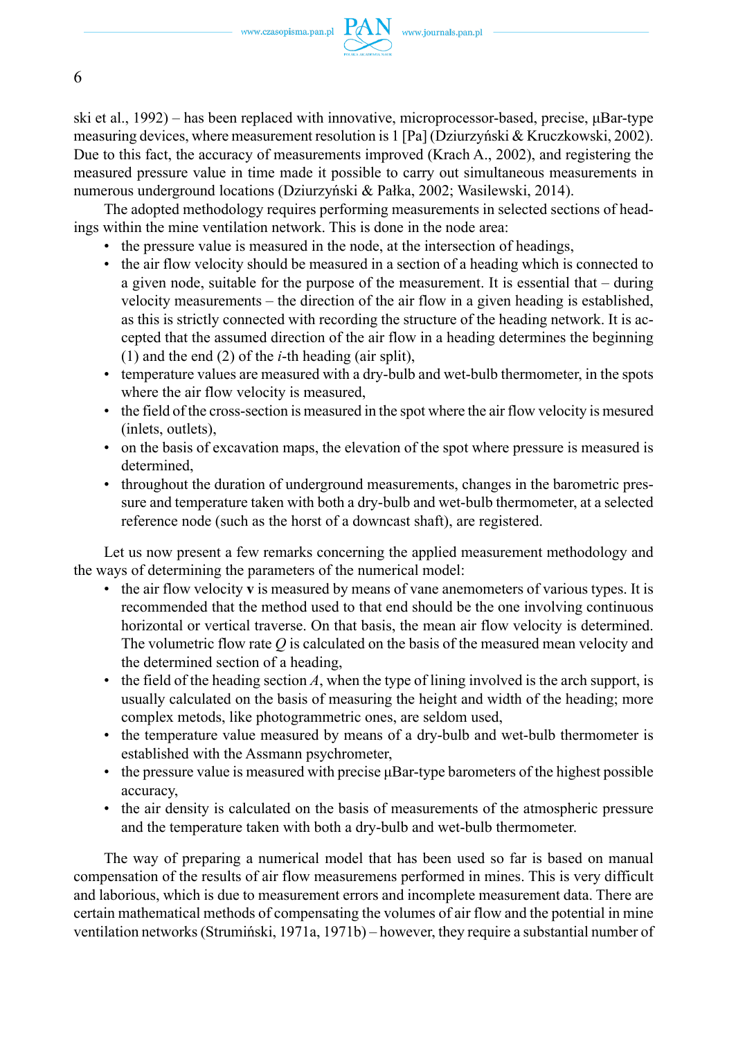

ski et al., 1992) – has been replaced with innovative, microprocessor-based, precise, μBar-type measuring devices, where measurement resolution is 1 [Pa] (Dziurzyński & Kruczkowski, 2002). Due to this fact, the accuracy of measurements improved (Krach A., 2002), and registering the measured pressure value in time made it possible to carry out simultaneous measurements in numerous underground locations (Dziurzyński & Pałka, 2002; Wasilewski, 2014).

The adopted methodology requires performing measurements in selected sections of headings within the mine ventilation network. This is done in the node area:

- the pressure value is measured in the node, at the intersection of headings,
- the air flow velocity should be measured in a section of a heading which is connected to a given node, suitable for the purpose of the measurement. It is essential that – during velocity measurements – the direction of the air flow in a given heading is established, as this is strictly connected with recording the structure of the heading network. It is accepted that the assumed direction of the air flow in a heading determines the beginning (1) and the end (2) of the *i*-th heading (air split),
- temperature values are measured with a dry-bulb and wet-bulb thermometer, in the spots where the air flow velocity is measured.
- the field of the cross-section is measured in the spot where the air flow velocity is mesured (inlets, outlets),
- on the basis of excavation maps, the elevation of the spot where pressure is measured is determined,
- throughout the duration of underground measurements, changes in the barometric pressure and temperature taken with both a dry-bulb and wet-bulb thermometer, at a selected reference node (such as the horst of a downcast shaft), are registered.

Let us now present a few remarks concerning the applied measurement methodology and the ways of determining the parameters of the numerical model:

- the air flow velocity **v** is measured by means of vane anemometers of various types. It is recommended that the method used to that end should be the one involving continuous horizontal or vertical traverse. On that basis, the mean air flow velocity is determined. The volumetric flow rate *Q* is calculated on the basis of the measured mean velocity and the determined section of a heading,
- the field of the heading section *A*, when the type of lining involved is the arch support, is usually calculated on the basis of measuring the height and width of the heading; more complex metods, like photogrammetric ones, are seldom used,
- the temperature value measured by means of a dry-bulb and wet-bulb thermometer is established with the Assmann psychrometer,
- the pressure value is measured with precise μBar-type barometers of the highest possible accuracy,
- the air density is calculated on the basis of measurements of the atmospheric pressure and the temperature taken with both a dry-bulb and wet-bulb thermometer.

The way of preparing a numerical model that has been used so far is based on manual compensation of the results of air flow measuremens performed in mines. This is very difficult and laborious, which is due to measurement errors and incomplete measurement data. There are certain mathematical methods of compensating the volumes of air flow and the potential in mine ventilation networks (Strumiński, 1971a, 1971b) – however, they require a substantial number of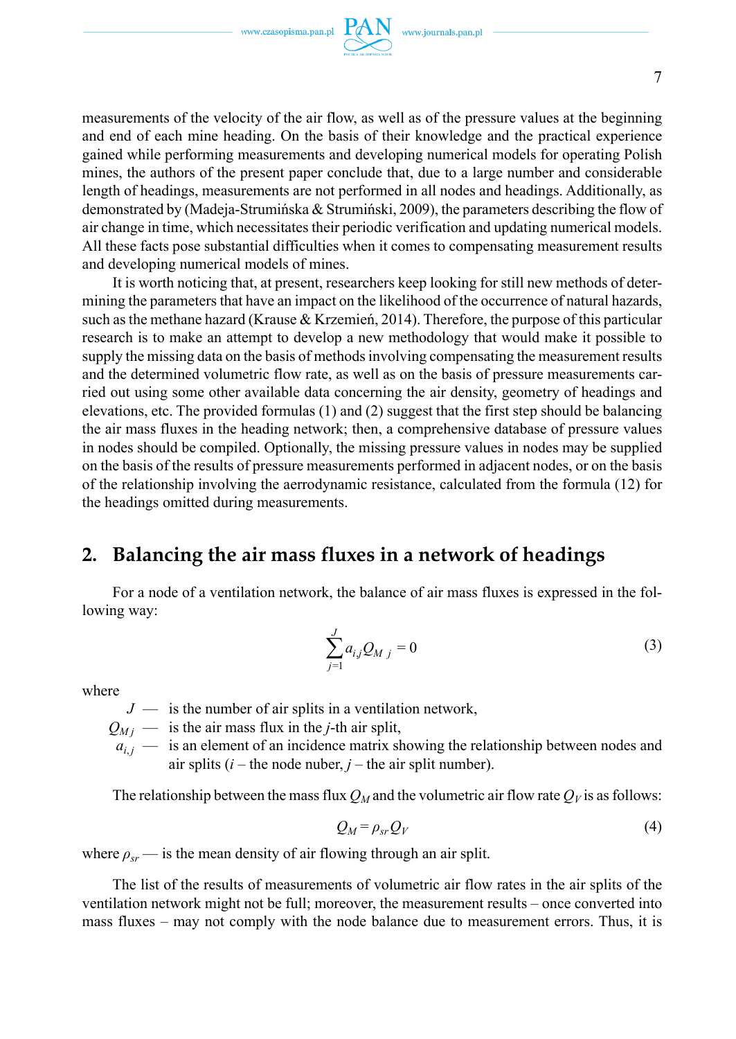

measurements of the velocity of the air flow, as well as of the pressure values at the beginning and end of each mine heading. On the basis of their knowledge and the practical experience gained while performing measurements and developing numerical models for operating Polish mines, the authors of the present paper conclude that, due to a large number and considerable length of headings, measurements are not performed in all nodes and headings. Additionally, as demonstrated by (Madeja-Strumińska & Strumiński, 2009), the parameters describing the flow of air change in time, which necessitates their periodic verification and updating numerical models. All these facts pose substantial difficulties when it comes to compensating measurement results

and developing numerical models of mines.

It is worth noticing that, at present, researchers keep looking for still new methods of determining the parameters that have an impact on the likelihood of the occurrence of natural hazards, such as the methane hazard (Krause  $&$  Krzemień, 2014). Therefore, the purpose of this particular research is to make an attempt to develop a new methodology that would make it possible to supply the missing data on the basis of methods involving compensating the measurement results and the determined volumetric flow rate, as well as on the basis of pressure measurements carried out using some other available data concerning the air density, geometry of headings and elevations, etc. The provided formulas (1) and (2) suggest that the first step should be balancing the air mass fluxes in the heading network; then, a comprehensive database of pressure values in nodes should be compiled. Optionally, the missing pressure values in nodes may be supplied on the basis of the results of pressure measurements performed in adjacent nodes, or on the basis of the relationship involving the aerrodynamic resistance, calculated from the formula (12) for the headings omitted during measurements.

## **2. Balancing the air mass fluxes in a network of headings**

For a node of a ventilation network, the balance of air mass fluxes is expressed in the following way:

$$
\sum_{j=1}^{J} a_{i,j} Q_{M,j} = 0
$$
 (3)

where

 $J$  — is the number of air splits in a ventilation network,

- $Q_{Mi}$  is the air mass flux in the *j*-th air split,
- $a_{i,j}$  is an element of an incidence matrix showing the relationship between nodes and air splits  $(i -$  the node nuber,  $j -$  the air split number).

The relationship between the mass flux  $Q_M$  and the volumetric air flow rate  $Q_V$  is as follows:

$$
Q_M = \rho_{sr} Q_V \tag{4}
$$

where  $\rho_{sr}$  — is the mean density of air flowing through an air split.

The list of the results of measurements of volumetric air flow rates in the air splits of the ventilation network might not be full; moreover, the measurement results – once converted into mass fluxes – may not comply with the node balance due to measurement errors. Thus, it is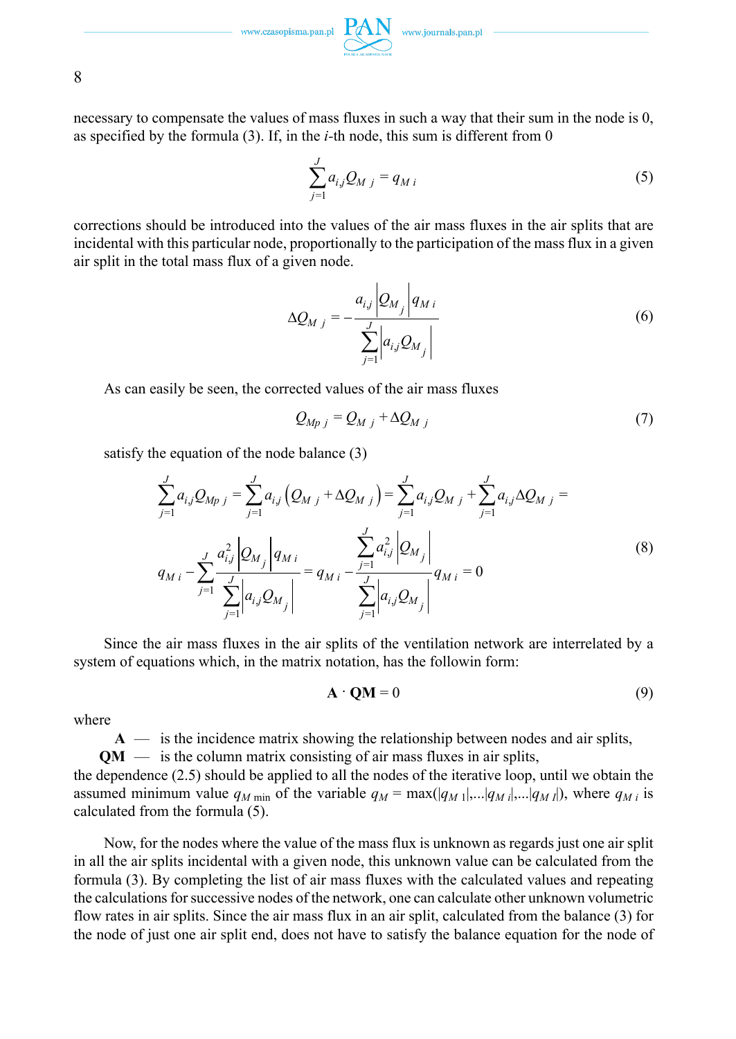

necessary to compensate the values of mass fluxes in such a way that their sum in the node is 0, as specified by the formula (3). If, in the *i-*th node, this sum is different from 0

$$
\sum_{j=1}^{J} a_{i,j} Q_{M\ j} = q_{M\ i} \tag{5}
$$

corrections should be introduced into the values of the air mass fluxes in the air splits that are incidental with this particular node, proportionally to the participation of the mass flux in a given air split in the total mass flux of a given node.

$$
\Delta Q_{M\ j} = -\frac{a_{ij} |Q_{M\ j}| |q_{M\ i}}{\sum_{j=1}^{J} |a_{ij} Q_{M\ j}|}
$$
\n(6)

As can easily be seen, the corrected values of the air mass fluxes

$$
Q_{Mp\,j} = Q_{M\,j} + \Delta Q_{M\,j} \tag{7}
$$

satisfy the equation of the node balance (3)

$$
\sum_{j=1}^{J} a_{i,j} Q_{Mp \, j} = \sum_{j=1}^{J} a_{i,j} \left( Q_{M \, j} + \Delta Q_{M \, j} \right) = \sum_{j=1}^{J} a_{i,j} Q_{M \, j} + \sum_{j=1}^{J} a_{i,j} \Delta Q_{M \, j} =
$$
\n
$$
q_{M \, i} - \sum_{j=1}^{J} \frac{a_{i,j}^{2}}{\sum_{j=1}^{J} |a_{i,j} Q_{M \, j}|} = q_{M \, i} - \frac{\sum_{j=1}^{J} a_{i,j}^{2}}{\sum_{j=1}^{J} |a_{i,j} Q_{M \, j}|} q_{M \, i} = 0
$$
\n(8)

Since the air mass fluxes in the air splits of the ventilation network are interrelated by a system of equations which, in the matrix notation, has the followin form:

$$
\mathbf{A} \cdot \mathbf{Q}\mathbf{M} = 0 \tag{9}
$$

where

**A** — is the incidence matrix showing the relationship between nodes and air splits,

**QM** — is the column matrix consisting of air mass fluxes in air splits,

the dependence (2.5) should be applied to all the nodes of the iterative loop, until we obtain the assumed minimum value  $q_{M \text{min}}$  of the variable  $q_M = \max(|q_{M}|, \ldots |q_{M}|, \ldots |q_{M}|)$ , where  $q_{M i}$  is calculated from the formula (5).

Now, for the nodes where the value of the mass flux is unknown as regards just one air split in all the air splits incidental with a given node, this unknown value can be calculated from the formula (3). By completing the list of air mass fluxes with the calculated values and repeating the calculations for successive nodes of the network, one can calculate other unknown volumetric flow rates in air splits. Since the air mass flux in an air split, calculated from the balance (3) for the node of just one air split end, does not have to satisfy the balance equation for the node of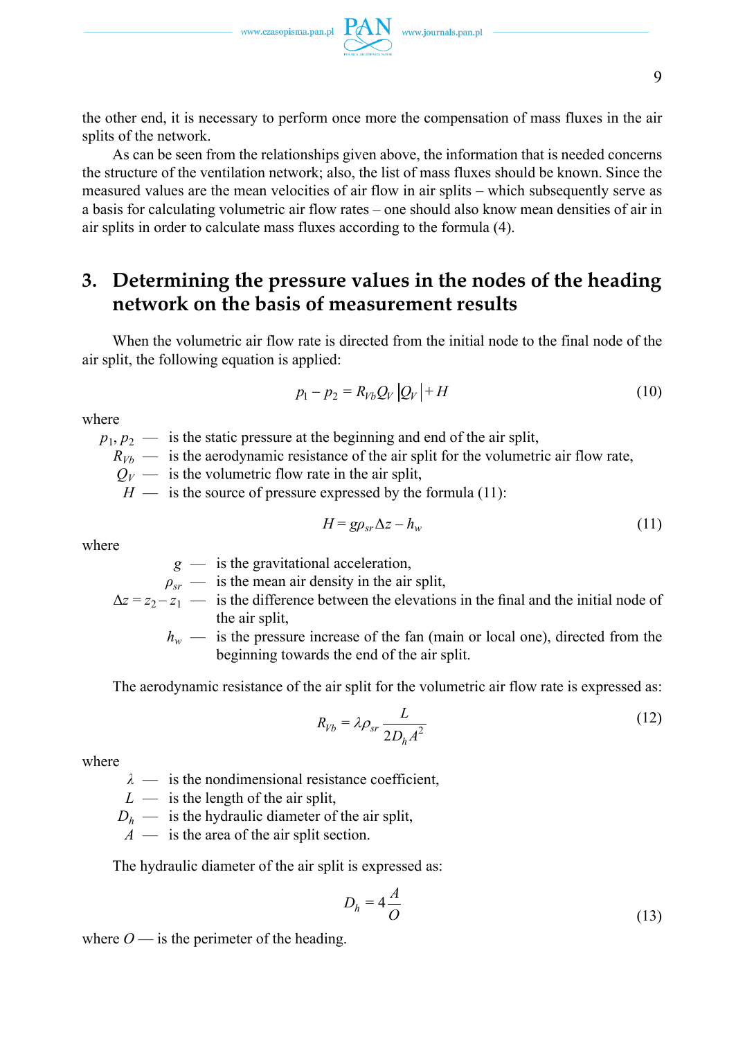$\hspace*{2.5cm}\text{www.czasopisma.pan.pl}\quad \underbrace{PAN}_{\text{www.journals.pan.pl}} \hspace*{2.5cm} \text{www.journals.pan.pl}$ 

the other end, it is necessary to perform once more the compensation of mass fluxes in the air splits of the network.

As can be seen from the relationships given above, the information that is needed concerns the structure of the ventilation network; also, the list of mass fluxes should be known. Since the measured values are the mean velocities of air flow in air splits – which subsequently serve as a basis for calculating volumetric air flow rates – one should also know mean densities of air in air splits in order to calculate mass fluxes according to the formula (4).

# **3. Determining the pressure values in the nodes of the heading network on the basis of measurement results**

When the volumetric air flow rate is directed from the initial node to the final node of the air split, the following equation is applied:

$$
p_1 - p_2 = R_{Vb} Q_V |Q_V| + H \tag{10}
$$

where

 $p_1, p_2$  — is the static pressure at the beginning and end of the air split,

 $R_{Vb}$  — is the aerodynamic resistance of the air split for the volumetric air flow rate,

 $Q_V$  — is the volumetric flow rate in the air split,

 $H -$  is the source of pressure expressed by the formula (11):

$$
H = g\rho_{sr}\Delta z - h_w \tag{11}
$$

where

*g* — is the gravitational acceleration,  $\rho_{sr}$  — is the mean air density in the air split,  $\Delta z = z_2 - z_1$  — is the difference between the elevations in the final and the initial node of the air split,

 $h_w$  — is the pressure increase of the fan (main or local one), directed from the beginning towards the end of the air split.

The aerodynamic resistance of the air split for the volumetric air flow rate is expressed as:

$$
R_{Vb} = \lambda \rho_{sr} \frac{L}{2D_h A^2} \tag{12}
$$

where

*λ* — is the nondimensional resistance coefficient,

- $L$  is the length of the air split,
- $D_h$  is the hydraulic diameter of the air split,
- *A* is the area of the air split section.

The hydraulic diameter of the air split is expressed as:

$$
D_h = 4\frac{A}{O} \tag{13}
$$

where  $O$  — is the perimeter of the heading.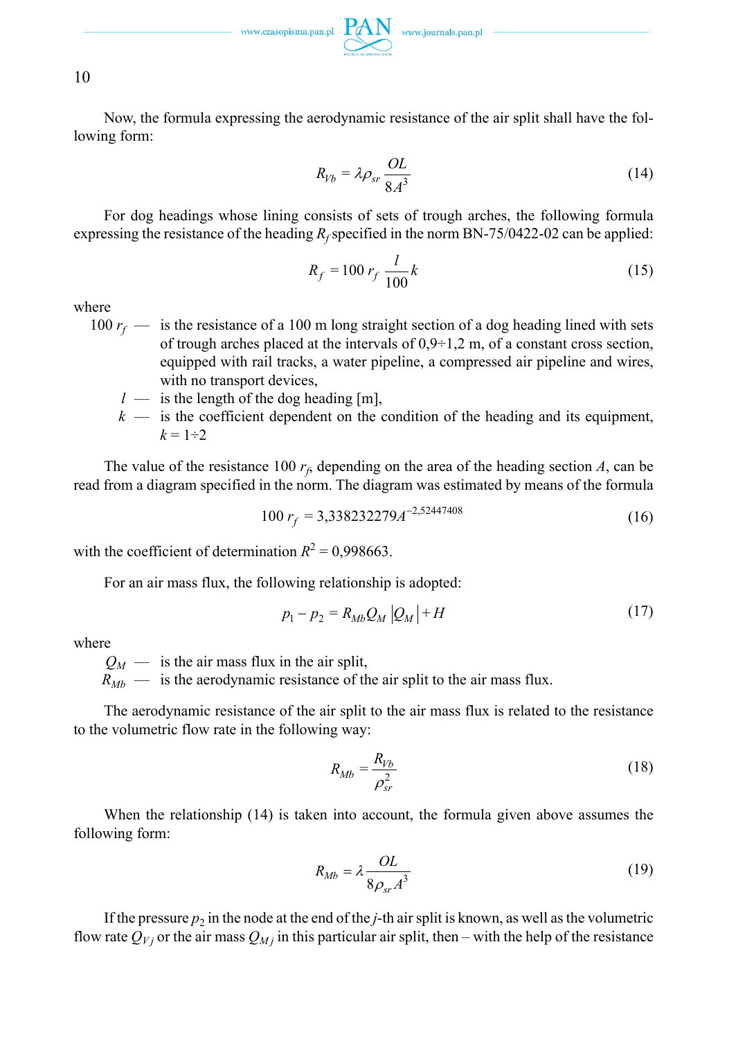Now, the formula expressing the aerodynamic resistance of the air split shall have the following form:

$$
R_{Vb} = \lambda \rho_{sr} \frac{OL}{8A^3}
$$
 (14)

For dog headings whose lining consists of sets of trough arches, the following formula expressing the resistance of the heading  $R_f$  specified in the norm BN-75/0422-02 can be applied:

$$
R_f = 100 \, r_f \, \frac{l}{100} k \tag{15}
$$

where

- $100 r_f$  is the resistance of a 100 m long straight section of a dog heading lined with sets of trough arches placed at the intervals of  $0.9 \div 1.2$  m, of a constant cross section, equipped with rail tracks, a water pipeline, a compressed air pipeline and wires, with no transport devices,
	- $l$  is the length of the dog heading [m],
	- $k$  is the coefficient dependent on the condition of the heading and its equipment,  $k = 1 \div 2$

The value of the resistance 100  $r_f$ , depending on the area of the heading section *A*, can be read from a diagram specified in the norm. The diagram was estimated by means of the formula

$$
100 r_f = 3{,}338232279A^{-2{,}52447408}
$$
 (16)

with the coefficient of determination  $R^2 = 0.998663$ .

For an air mass flux, the following relationship is adopted:

$$
p_1 - p_2 = R_{Mb} Q_M |Q_M| + H \tag{17}
$$

where

 $Q_M$  — is the air mass flux in the air split,

 $R_{Mb}$  — is the aerodynamic resistance of the air split to the air mass flux.

The aerodynamic resistance of the air split to the air mass flux is related to the resistance to the volumetric flow rate in the following way:

$$
R_{Mb} = \frac{R_{Vb}}{\rho_{sr}^2} \tag{18}
$$

When the relationship (14) is taken into account, the formula given above assumes the following form:

$$
R_{Mb} = \lambda \frac{OL}{8\rho_{sr}A^3}
$$
 (19)

If the pressure  $p_2$  in the node at the end of the *j*-th air split is known, as well as the volumetric flow rate  $Q_{Vj}$  or the air mass  $Q_{Mj}$  in this particular air split, then – with the help of the resistance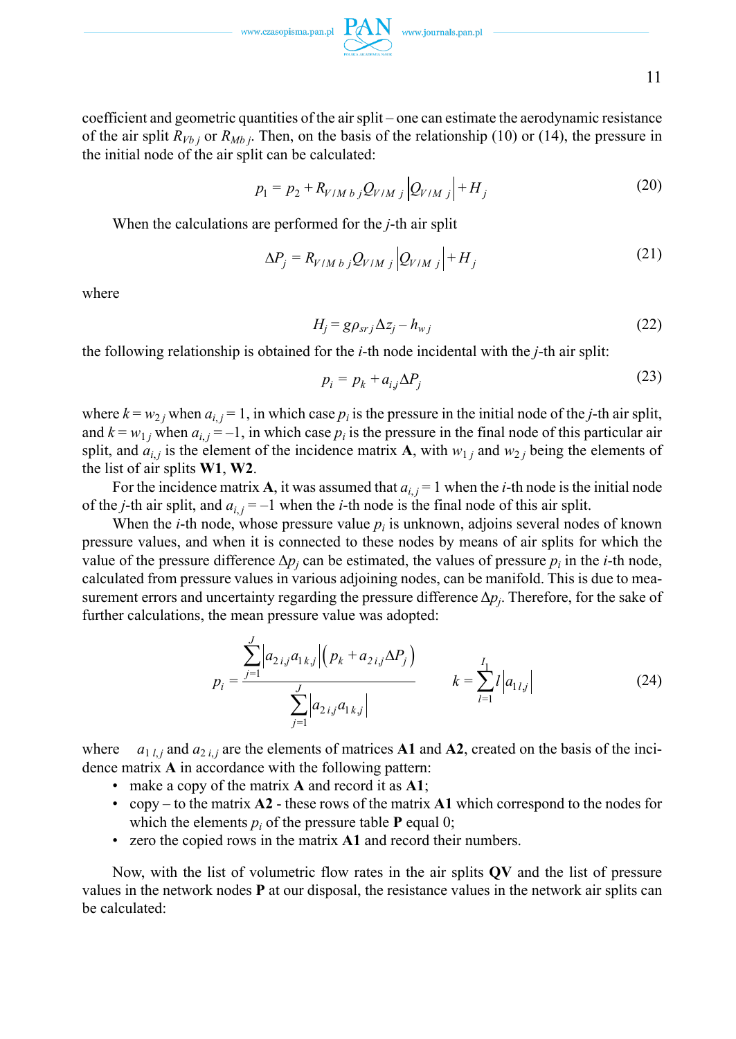coefficient and geometric quantities of the air split – one can estimate the aerodynamic resistance of the air split  $R_{Vb}$  *j* or  $R_{Mb}$  *j*. Then, on the basis of the relationship (10) or (14), the pressure in the initial node of the air split can be calculated:

$$
p_1 = p_2 + R_{V/M \, b \, j} Q_{V/M \, j} |Q_{V/M \, j}| + H_j \tag{20}
$$

When the calculations are performed for the *j*-th air split

$$
\Delta P_j = R_{V/M \, b \, j} Q_{V/M \, j} \left| Q_{V/M \, j} \right| + H_j \tag{21}
$$

where

$$
H_j = g\rho_{srj}\Delta z_j - h_{wj} \tag{22}
$$

the following relationship is obtained for the *i*-th node incidental with the *j*-th air split:

$$
p_i = p_k + a_{ij} \Delta P_j \tag{23}
$$

where  $k = w_{2j}$  when  $a_{i,j} = 1$ , in which case  $p_i$  is the pressure in the initial node of the *j*-th air split, and  $k = w_{1j}$  when  $a_{i,j} = -1$ , in which case  $p_i$  is the pressure in the final node of this particular air split, and  $a_{i,j}$  is the element of the incidence matrix **A**, with  $w_{1j}$  and  $w_{2j}$  being the elements of the list of air splits **W1**, **W2**.

For the incidence matrix **A**, it was assumed that  $a_{i,j} = 1$  when the *i*-th node is the initial node of the *j*-th air split, and  $a_{i,j} = -1$  when the *i*-th node is the final node of this air split.

When the *i*-th node, whose pressure value  $p_i$  is unknown, adjoins several nodes of known pressure values, and when it is connected to these nodes by means of air splits for which the value of the pressure difference  $\Delta p_j$  can be estimated, the values of pressure  $p_i$  in the *i*-th node, calculated from pressure values in various adjoining nodes, can be manifold. This is due to measurement errors and uncertainty regarding the pressure difference Δ*pj* . Therefore, for the sake of further calculations, the mean pressure value was adopted:

$$
p_{i} = \frac{\sum_{j=1}^{J} |a_{2ij}a_{1kj}| \left(p_{k} + a_{2ij} \Delta P_{j}\right)}{\sum_{j=1}^{J} |a_{2ij}a_{1kj}|} \qquad k = \sum_{l=1}^{I} l |a_{1lj}| \qquad (24)
$$

where  $a_{1 l,j}$  and  $a_{2 i,j}$  are the elements of matrices **A1** and **A2**, created on the basis of the incidence matrix **A** in accordance with the following pattern:

- make a copy of the matrix **A** and record it as **A1**;
- copy to the matrix **A2**  these rows of the matrix **A1** which correspond to the nodes for which the elements  $p_i$  of the pressure table **P** equal 0;
- zero the copied rows in the matrix **A1** and record their numbers.

Now, with the list of volumetric flow rates in the air splits **QV** and the list of pressure values in the network nodes **P** at our disposal, the resistance values in the network air splits can be calculated: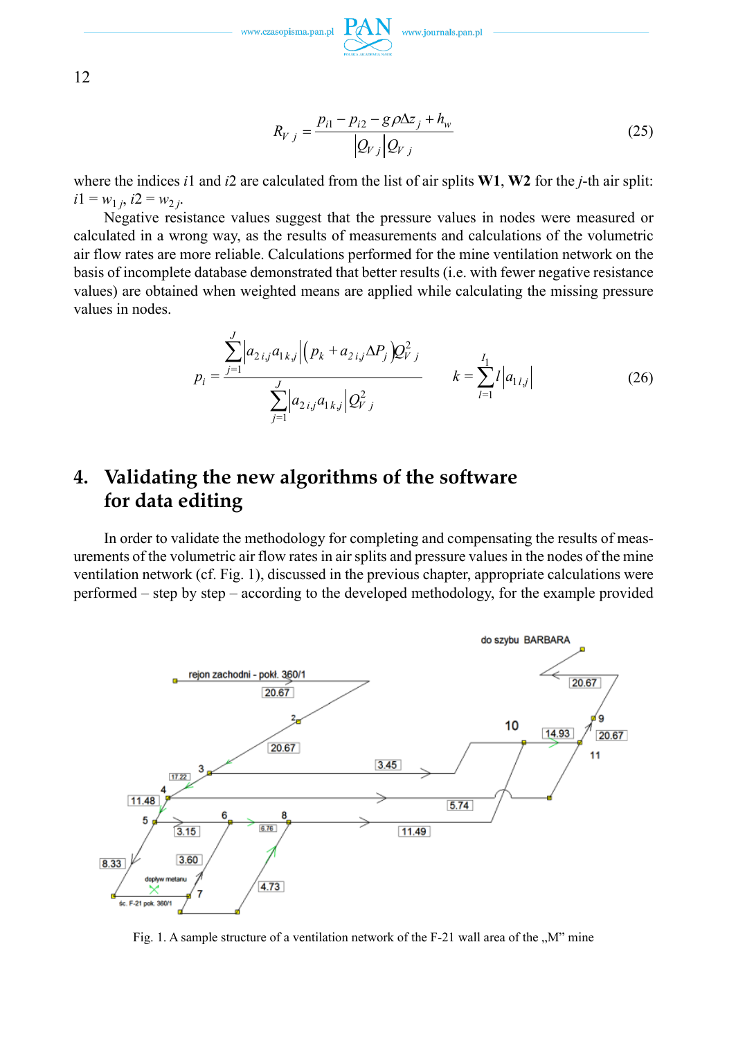www.czasopisma.pan.pl

www.journals.pan.pl

12

$$
R_{Vj} = \frac{p_{i1} - p_{i2} - g\rho\Delta z_j + h_w}{|Q_{Vj}|Q_{Vj}}\tag{25}
$$

where the indices *i*1 and *i*2 are calculated from the list of air splits **W1**, **W2** for the *j*-th air split:  $i1 = w_{1j}, i2 = w_{2j}.$ 

Negative resistance values suggest that the pressure values in nodes were measured or calculated in a wrong way, as the results of measurements and calculations of the volumetric air flow rates are more reliable. Calculations performed for the mine ventilation network on the basis of incomplete database demonstrated that better results (i.e. with fewer negative resistance values) are obtained when weighted means are applied while calculating the missing pressure values in nodes.

$$
p_{i} = \frac{\sum_{j=1}^{J} \left| a_{2 i j} a_{1 k j} \right| \left( p_{k} + a_{2 i j} \Delta P_{j} \right) Q_{V}^{2}}{\sum_{j=1}^{J} \left| a_{2 i j} a_{1 k j} \right| Q_{V}^{2}} \qquad k = \sum_{l=1}^{I_{1}} l \left| a_{1 l j} \right| \tag{26}
$$

# **4. Validating the new algorithms of the software for data editing**

In order to validate the methodology for completing and compensating the results of measurements of the volumetric air flow rates in air splits and pressure values in the nodes of the mine ventilation network (cf. Fig. 1), discussed in the previous chapter, appropriate calculations were performed – step by step – according to the developed methodology, for the example provided



Fig. 1. A sample structure of a ventilation network of the F-21 wall area of the  $\mu$ <sup>"</sup> mine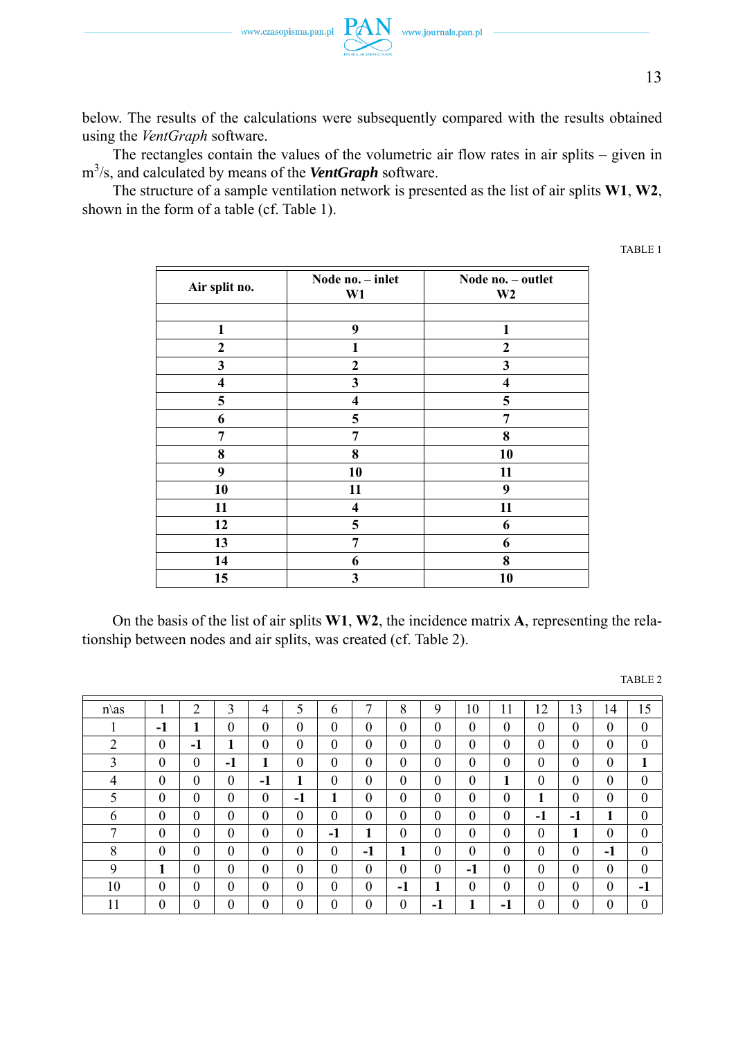

below. The results of the calculations were subsequently compared with the results obtained using the *VentGraph* software.

The rectangles contain the values of the volumetric air flow rates in air splits – given in m3 /s, and calculated by means of the *VentGraph* software.

The structure of a sample ventilation network is presented as the list of air splits **W1**, **W2**, shown in the form of a table (cf. Table 1).

TABLE 1

| Air split no. | Node no. - inlet<br>W1  | Node no. - outlet<br>W <sub>2</sub> |  |  |
|---------------|-------------------------|-------------------------------------|--|--|
|               |                         |                                     |  |  |
| 1             | 9                       | 1                                   |  |  |
| $\mathbf{2}$  | 1                       | $\mathbf{2}$                        |  |  |
| 3             | $\overline{2}$          | 3                                   |  |  |
| 4             | 3                       | 4                                   |  |  |
| 5             | $\overline{\bf{4}}$     | 5                                   |  |  |
| 6             | 5                       | 7                                   |  |  |
| 7             | 7                       | 8                                   |  |  |
| 8             | 8                       | 10                                  |  |  |
| 9             | 10                      | 11                                  |  |  |
| ${\bf 10}$    | 11                      | 9                                   |  |  |
| 11            | $\overline{\mathbf{4}}$ | 11                                  |  |  |
| 12            | 5                       | 6                                   |  |  |
| 13            | 7                       | 6                                   |  |  |
| 14            | 6                       | 8                                   |  |  |
| 15            | 3                       | 10                                  |  |  |

On the basis of the list of air splits **W1**, **W2**, the incidence matrix **A**, representing the relationship between nodes and air splits, was created (cf. Table 2).

F

| $n\alpha s$ |   | ∽ |  |  | Λ<br>ບ | 10 <sup>1</sup> | $\cdot$ | $\overline{ }$<br>$\overline{\phantom{0}}$ | $\sim$<br>13 | 14 |  |
|-------------|---|---|--|--|--------|-----------------|---------|--------------------------------------------|--------------|----|--|
|             | - |   |  |  |        |                 |         |                                            |              |    |  |
|             |   | - |  |  |        |                 |         |                                            |              |    |  |

TABLE 2

| $\mathbf{u}$  |          |          | ╯        |          | $\tilde{\phantom{a}}$ | $\mathbf v$ |          | $\mathbf \omega$ | ╯        | $\sim$   | $\cdot$  | $\overline{ }$ | $\overline{ }$ | . .          | $\overline{ }$ |
|---------------|----------|----------|----------|----------|-----------------------|-------------|----------|------------------|----------|----------|----------|----------------|----------------|--------------|----------------|
|               | $-1$     |          | 0        | $\theta$ | 0                     | $\theta$    | $\Omega$ | $\theta$         | $\theta$ | $\theta$ | $\theta$ | $\Omega$       | $\Omega$       | $\mathbf{0}$ | 0              |
| ↑             | $\theta$ | $-1$     |          | $\theta$ | $\theta$              | $\theta$    | $\Omega$ | $\theta$         | $\theta$ | $\theta$ | $\theta$ | $\Omega$       | $\Omega$       | $\theta$     | $\theta$       |
|               | $\theta$ | $\theta$ | -1       |          | $\theta$              | $\theta$    | $\Omega$ | $\theta$         | $\theta$ | $\theta$ | $\theta$ | $\Omega$       | $\Omega$       | $\theta$     |                |
|               | $\theta$ | $\theta$ | $\Omega$ | $-1$     |                       | $\theta$    | $\Omega$ | $\theta$         | $\theta$ | $\theta$ | п        | $\Omega$       | $\Omega$       | $\theta$     | 0              |
|               | $\theta$ | 0        | $\theta$ | $\theta$ | $-1$                  |             | $\theta$ | 0                | $\theta$ | 0        | 0        |                | $\Omega$       | 0            | 0              |
| <sub>b</sub>  | $\theta$ | 0        | $\Omega$ | $\theta$ | $\theta$              | $\theta$    | $\Omega$ | $\theta$         | $\theta$ | $\theta$ | $\theta$ | $-1$           | $-1$           |              | $\theta$       |
|               | $\theta$ | $\theta$ | $\Omega$ | $\theta$ | $\theta$              | -1          |          | $\theta$         | $\theta$ | $\theta$ | $\theta$ | $\Omega$       | 1              | $\theta$     | $\theta$       |
| $\Omega$<br>δ | $\theta$ | $\theta$ | $\Omega$ | $\theta$ | $\theta$              | $\theta$    | $-1$     |                  | $\theta$ | $\theta$ | $\theta$ | $\Omega$       | $\Omega$       | - 1          | 0              |
| Q             |          | 0        | $\theta$ | $\theta$ | $\theta$              | $\Omega$    | $\Omega$ | $\theta$         | $\theta$ | -1       | $\theta$ | $\theta$       | $\theta$       | $\theta$     | $\theta$       |
| 10            | $\theta$ | 0        | $\Omega$ | $\theta$ | $\theta$              | $\Omega$    | $\Omega$ | $-1$             |          | $\theta$ | $\theta$ | $\Omega$       | $\Omega$       | $\theta$     | $-1$           |
| 11            | $\theta$ | 0        | 0        | $\theta$ | 0                     | $\theta$    | $\theta$ | $\theta$         | -1       |          | $-1$     |                | $\Omega$       | $\theta$     | $\theta$       |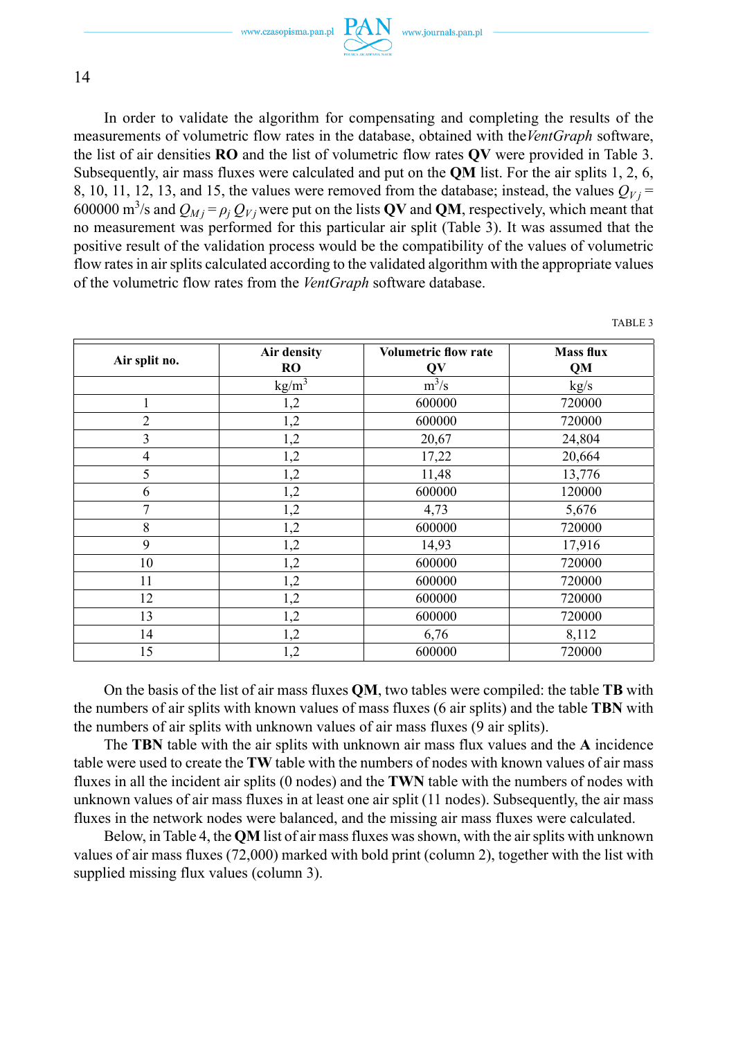

In order to validate the algorithm for compensating and completing the results of the measurements of volumetric flow rates in the database, obtained with the*VentGraph* software, the list of air densities **RO** and the list of volumetric flow rates **QV** were provided in Table 3. Subsequently, air mass fluxes were calculated and put on the **QM** list. For the air splits 1, 2, 6, 8, 10, 11, 12, 13, and 15, the values were removed from the database; instead, the values  $Q_{V_i}$  = 600000 m<sup>3</sup>/s and  $Q_{Mj} = \rho_j Q_{Vj}$  were put on the lists **QV** and **QM**, respectively, which meant that no measurement was performed for this particular air split (Table 3). It was assumed that the positive result of the validation process would be the compatibility of the values of volumetric flow rates in air splits calculated according to the validated algorithm with the appropriate values of the volumetric flow rates from the *VentGraph* software database.

TABLE 3

|                | Air density | <b>Volumetric flow rate</b> | <b>Mass flux</b> |  |  |
|----------------|-------------|-----------------------------|------------------|--|--|
| Air split no.  | <b>RO</b>   | QV                          | QM               |  |  |
|                | $kg/m^3$    | $m^3/s$                     | kg/s             |  |  |
|                | 1,2         | 600000                      | 720000           |  |  |
| $\overline{2}$ | 1,2         | 600000                      | 720000           |  |  |
| 3              | 1,2         | 20,67                       | 24,804           |  |  |
| $\overline{4}$ | 1,2         | 17,22                       | 20,664           |  |  |
| 5              | 1,2         | 11,48                       | 13,776           |  |  |
| 6              | 1,2         | 600000                      | 120000           |  |  |
| 7              | 1,2         | 4,73                        | 5,676            |  |  |
| 8              | 1,2         | 600000                      | 720000           |  |  |
| 9              | 1,2         | 14,93                       | 17,916           |  |  |
| 10             | 1,2         | 600000                      | 720000           |  |  |
| 11             | 1,2         | 600000                      | 720000           |  |  |
| 12             | 1,2         | 600000                      | 720000           |  |  |
| 13             | 1,2         | 600000                      | 720000           |  |  |
| 14             | 1,2         | 6,76                        | 8,112            |  |  |
| 15             | 1,2         | 600000                      | 720000           |  |  |

On the basis of the list of air mass fluxes **QM**, two tables were compiled: the table **TB** with the numbers of air splits with known values of mass fluxes (6 air splits) and the table **TBN** with the numbers of air splits with unknown values of air mass fluxes (9 air splits).

The **TBN** table with the air splits with unknown air mass flux values and the **A** incidence table were used to create the **TW** table with the numbers of nodes with known values of air mass fluxes in all the incident air splits (0 nodes) and the **TWN** table with the numbers of nodes with unknown values of air mass fluxes in at least one air split (11 nodes). Subsequently, the air mass fluxes in the network nodes were balanced, and the missing air mass fluxes were calculated.

Below, in Table 4, the **QM** list of air mass fluxes was shown, with the air splits with unknown values of air mass fluxes (72,000) marked with bold print (column 2), together with the list with supplied missing flux values (column 3).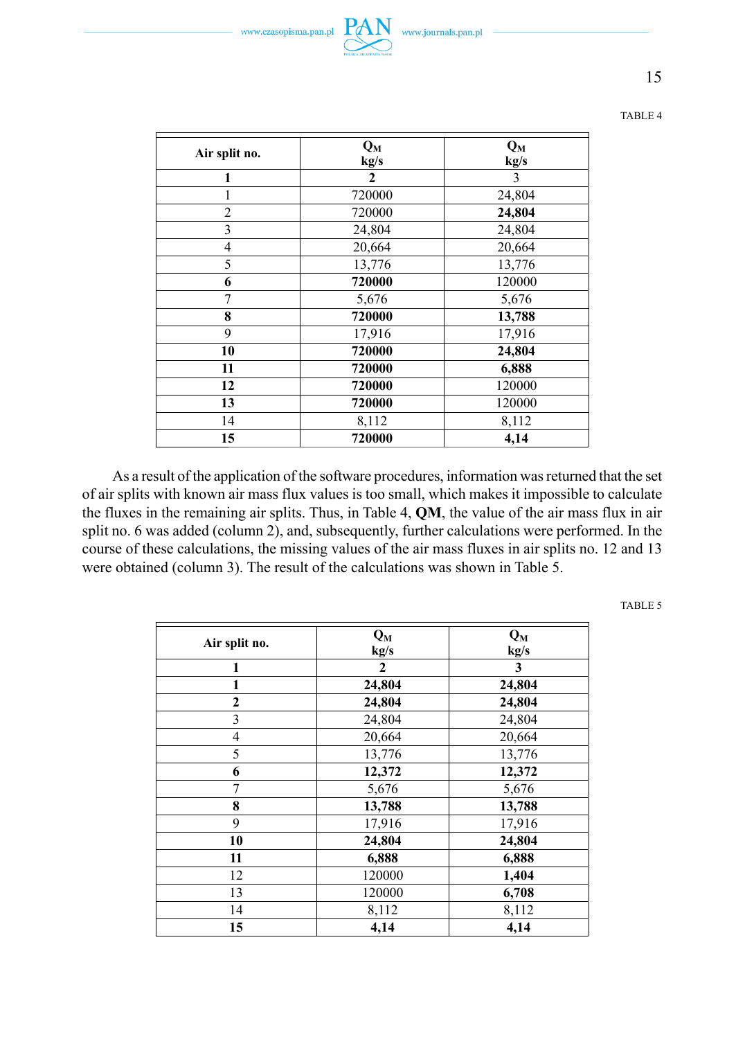



TABLE 4

| Air split no.  | $Q_M$<br>kg/s | $Q_M$<br>kg/s |  |  |
|----------------|---------------|---------------|--|--|
| 1              | $\mathbf{2}$  | 3             |  |  |
| 1              | 720000        | 24,804        |  |  |
| $\overline{2}$ | 720000        | 24,804        |  |  |
| 3              | 24,804        | 24,804        |  |  |
| $\overline{4}$ | 20,664        | 20,664        |  |  |
| 5              | 13,776        | 13,776        |  |  |
| 6              | 720000        | 120000        |  |  |
| 7              | 5,676         | 5,676         |  |  |
| 8              | 720000        | 13,788        |  |  |
| 9              | 17,916        | 17,916        |  |  |
| 10             | 720000        | 24,804        |  |  |
| 11             | 720000        | 6,888         |  |  |
| 12             | 720000        | 120000        |  |  |
| 13             | 720000        | 120000        |  |  |
| 14             | 8,112         | 8,112         |  |  |
| 15             | 720000        | 4,14          |  |  |

As a result of the application of the software procedures, information was returned that the set of air splits with known air mass flux values is too small, which makes it impossible to calculate the fluxes in the remaining air splits. Thus, in Table 4, **QM**, the value of the air mass flux in air split no. 6 was added (column 2), and, subsequently, further calculations were performed. In the course of these calculations, the missing values of the air mass fluxes in air splits no. 12 and 13 were obtained (column 3). The result of the calculations was shown in Table 5.

| ┍ |
|---|
|---|

| Air split no.  | $Q_M$<br>kg/s | $Q_M$<br>kg/s |
|----------------|---------------|---------------|
| 1              | $\mathbf{2}$  | 3             |
| 1              | 24,804        | 24,804        |
| $\overline{2}$ | 24,804        | 24,804        |
| 3              | 24,804        | 24,804        |
| 4              | 20,664        | 20,664        |
| 5              | 13,776        | 13,776        |
| 6              | 12,372        | 12,372        |
| 7              | 5,676         | 5,676         |
| 8              | 13,788        | 13,788        |
| 9              | 17,916        | 17,916        |
| 10             | 24,804        | 24,804        |
| 11             | 6,888         | 6,888         |
| 12             | 120000        | 1,404         |
| 13             | 120000        | 6,708         |
| 14             | 8,112         | 8,112         |
| 15             | 4,14          | 4,14          |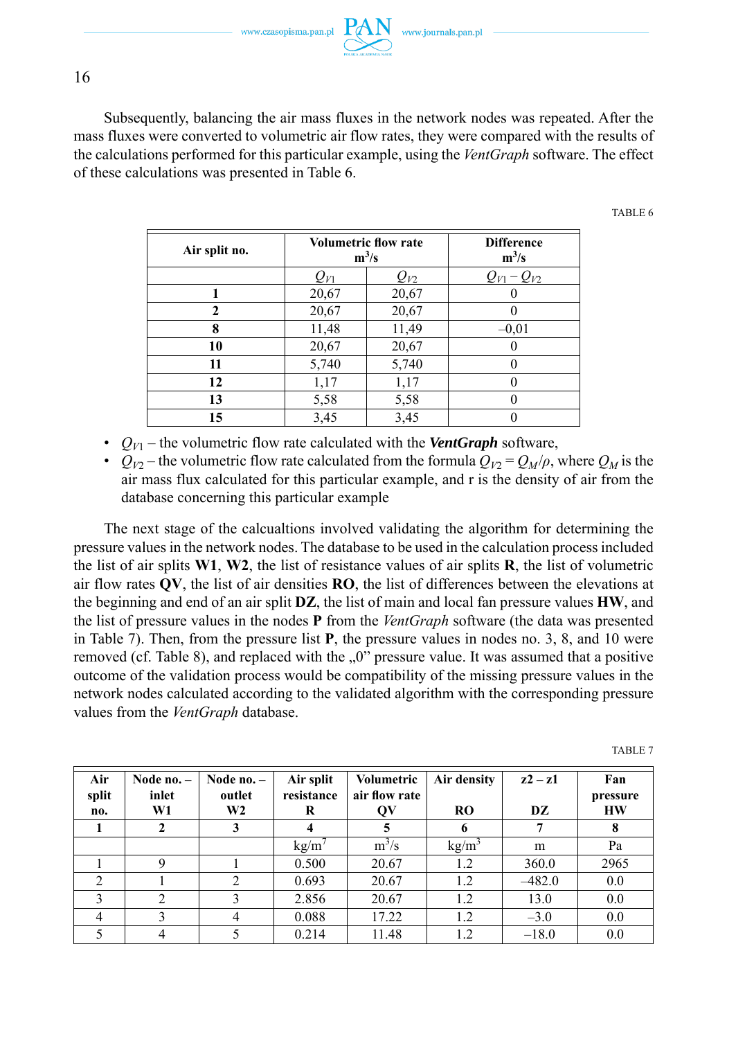

Subsequently, balancing the air mass fluxes in the network nodes was repeated. After the mass fluxes were converted to volumetric air flow rates, they were compared with the results of the calculations performed for this particular example, using the *VentGraph* software. The effect of these calculations was presented in Table 6.

TABLE 6

| Air split no. |          | <b>Volumetric flow rate</b><br>$m^3/s$ | <b>Difference</b><br>$m^3/s$ |
|---------------|----------|----------------------------------------|------------------------------|
|               | $Q_{V1}$ | $Q_{V2}$                               | $Q_{V1} - Q_{V2}$            |
|               | 20,67    | 20,67                                  |                              |
| $\mathbf{2}$  | 20,67    | 20,67                                  |                              |
| 8             | 11,48    | 11,49                                  | $-0,01$                      |
| 10            | 20,67    | 20,67                                  |                              |
| 11            | 5,740    | 5,740                                  |                              |
| 12            | 1,17     | 1,17                                   |                              |
| 13            | 5,58     | 5,58                                   |                              |
| 15            | 3,45     | 3.45                                   |                              |

- $Q_{V1}$  the volumetric flow rate calculated with the **VentGraph** software,
- $Q_{V2}$  the volumetric flow rate calculated from the formula  $Q_{V2} = Q_M/\rho$ , where  $Q_M$  is the air mass flux calculated for this particular example, and r is the density of air from the database concerning this particular example

The next stage of the calcualtions involved validating the algorithm for determining the pressure values in the network nodes. The database to be used in the calculation process included the list of air splits **W1**, **W2**, the list of resistance values of air splits **R**, the list of volumetric air flow rates **QV**, the list of air densities **RO**, the list of differences between the elevations at the beginning and end of an air split **DZ**, the list of main and local fan pressure values **HW**, and the list of pressure values in the nodes **P** from the *VentGraph* software (the data was presented in Table 7). Then, from the pressure list **P**, the pressure values in nodes no. 3, 8, and 10 were removed (cf. Table 8), and replaced with the "<sup>0</sup>" pressure value. It was assumed that a positive outcome of the validation process would be compatibility of the missing pressure values in the network nodes calculated according to the validated algorithm with the corresponding pressure values from the *VentGraph* database.

| ٠<br>Аn |  |
|---------|--|
|         |  |

| Air<br>split<br>no. | Node $no. -$<br>inlet<br>W1 | Node $no. –$<br>outlet<br>W2 | Air split<br>resistance<br>R | Volumetric<br>air flow rate<br>QV | Air density<br><b>RO</b> | $z^2 - z^1$<br>DZ. | Fan<br>pressure<br><b>HW</b> |
|---------------------|-----------------------------|------------------------------|------------------------------|-----------------------------------|--------------------------|--------------------|------------------------------|
|                     |                             |                              | 4                            | 5                                 | 6                        | 7                  | 8                            |
|                     |                             |                              | kg/m'                        | $m^3/s$                           | kg/m <sup>3</sup>        | m                  | Pa                           |
|                     | 9                           |                              | 0.500                        | 20.67                             | 1.2                      | 360.0              | 2965                         |
| $\overline{2}$      |                             | $\overline{c}$               | 0.693                        | 20.67                             | 1.2                      | $-482.0$           | 0.0                          |
| 3                   | ↑                           | $\mathbf{3}$                 | 2.856                        | 20.67                             | 1.2                      | 13.0               | 0.0                          |
| $\overline{4}$      | 3                           | $\overline{4}$               | 0.088                        | 17.22                             | 1.2                      | $-3.0$             | 0.0                          |
|                     |                             |                              | 0.214                        | 11.48                             | 1.2                      | $-18.0$            | 0.0                          |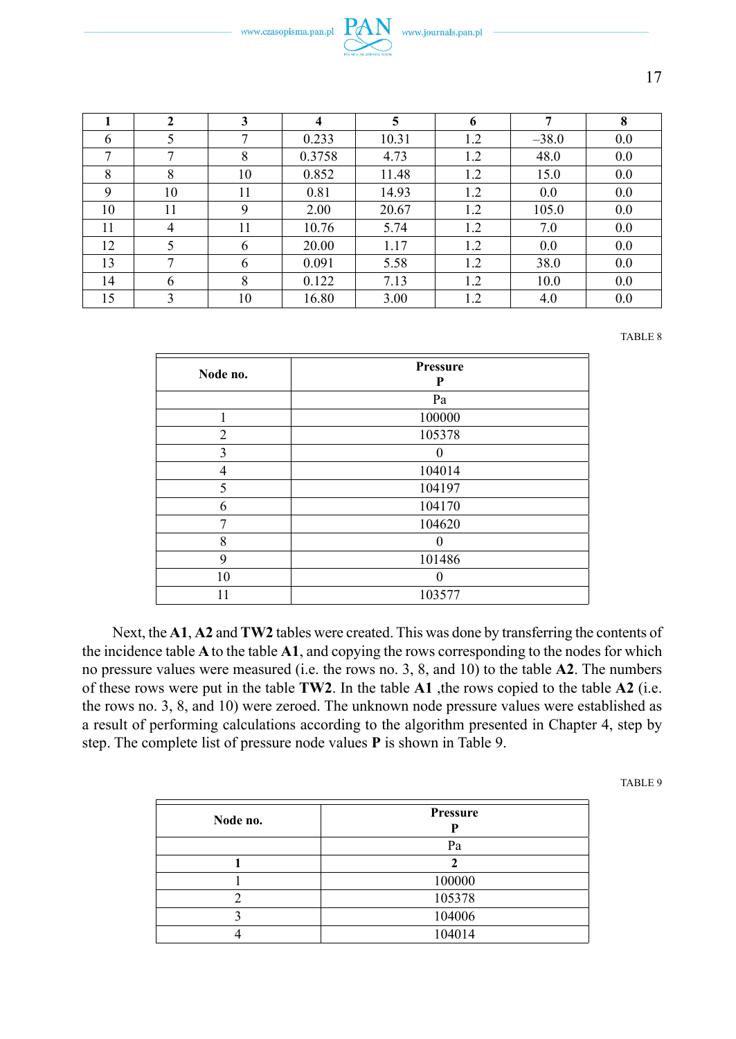| <b>POLSKA AKADEMIA NAUK</b> |  |
|-----------------------------|--|
|                             |  |
|                             |  |

|    | $\mathbf{2}$   | 3  | $\overline{4}$ | 5     | 6   | 7       | 8   |
|----|----------------|----|----------------|-------|-----|---------|-----|
| 6  |                | ⇁  | 0.233          | 10.31 | 1.2 | $-38.0$ | 0.0 |
|    | 7              | 8  | 0.3758         | 4.73  | 1.2 | 48.0    | 0.0 |
| 8  | 8              | 10 | 0.852          | 11.48 | 1.2 | 15.0    | 0.0 |
| 9  | 10             | 11 | 0.81           | 14.93 | 1.2 | 0.0     | 0.0 |
| 10 | 11             | 9  | 2.00           | 20.67 | 1.2 | 105.0   | 0.0 |
| 11 | $\overline{4}$ | 11 | 10.76          | 5.74  | 1.2 | 7.0     | 0.0 |
| 12 |                | 6  | 20.00          | 1.17  | 1.2 | 0.0     | 0.0 |
| 13 |                | 6  | 0.091          | 5.58  | 1.2 | 38.0    | 0.0 |
| 14 | 6              | 8  | 0.122          | 7.13  | 1.2 | 10.0    | 0.0 |
| 15 | ٩              | 10 | 16.80          | 3.00  | 1.2 | 4.0     | 0.0 |

TABLE 8

|                | <b>Pressure</b> |
|----------------|-----------------|
| Node no.       | P               |
|                |                 |
|                | Pa              |
|                | 100000          |
| $\overline{2}$ | 105378          |
| $\mathbf{3}$   |                 |
| 4              | 104014          |
| 5              | 104197          |
| 6              | 104170          |
| 7              | 104620          |
| 8              |                 |
| 9              | 101486          |
| 10             |                 |
| 11             | 103577          |

Next, the **A1**, **A2** and **TW2** tables were created. This was done by transferring the contents of the incidence table **A** to the table **A1**, and copying the rows corresponding to the nodes for which no pressure values were measured (i.e. the rows no. 3, 8, and 10) to the table **A2**. The numbers of these rows were put in the table **TW2**. In the table **A1** ,the rows copied to the table **A2** (i.e. the rows no. 3, 8, and 10) were zeroed. The unknown node pressure values were established as a result of performing calculations according to the algorithm presented in Chapter 4, step by step. The complete list of pressure node values **P** is shown in Table 9.

TABLE 9

| Node no. | <b>Pressure</b><br>D |
|----------|----------------------|
|          | Pa                   |
|          |                      |
|          | 100000               |
|          | 105378               |
|          | 104006               |
|          | 104014               |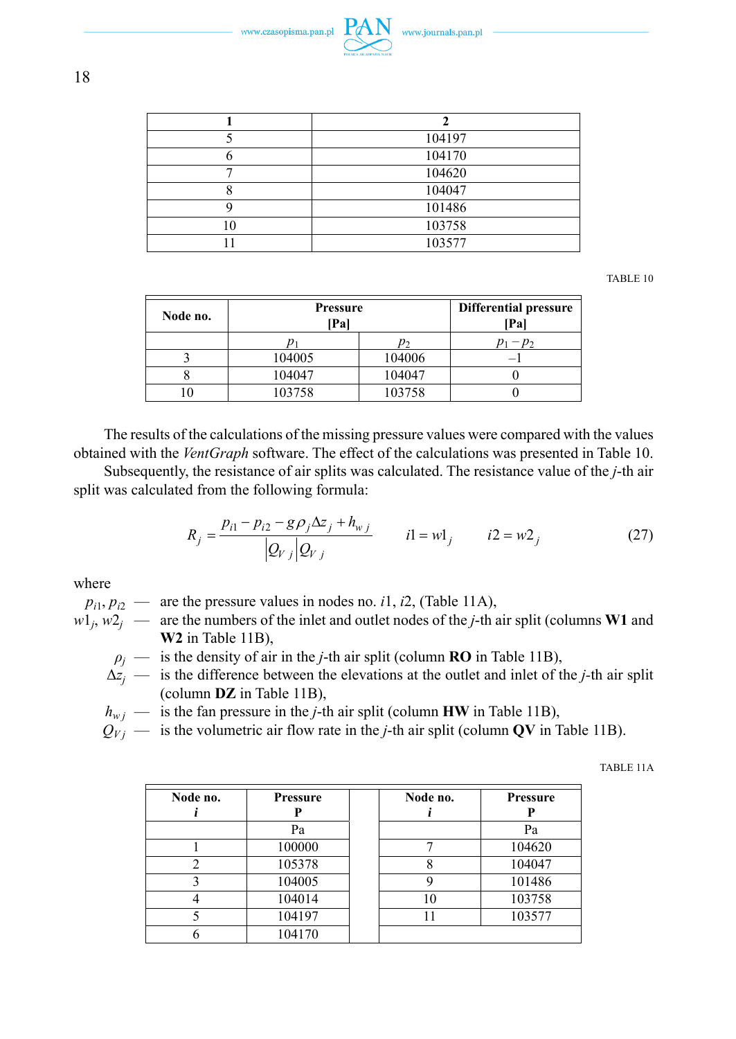

|          | 104197 |
|----------|--------|
|          | 104170 |
|          | 104620 |
|          | 104047 |
|          | 101486 |
| $\Omega$ | 103758 |
|          | 103577 |

TABLE 10

| Node no. | Pressure<br>Pal | <b>Differential pressure</b><br>[Pa] |             |
|----------|-----------------|--------------------------------------|-------------|
|          |                 | p,                                   | $p_1 - p_2$ |
|          | 104005          | 104006                               |             |
|          | 104047          | 104047                               |             |
|          | 103758          | 103758                               |             |

The results of the calculations of the missing pressure values were compared with the values obtained with the *VentGraph* software. The effect of the calculations was presented in Table 10.

Subsequently, the resistance of air splits was calculated. The resistance value of the *j*-th air split was calculated from the following formula:

$$
R_{j} = \frac{p_{i1} - p_{i2} - g \rho_{j} \Delta z_{j} + h_{wj}}{|Q_{Vj}|Q_{Vj}} \qquad i1 = w1_{j} \qquad i2 = w2_{j}
$$
 (27)

where

 $p_{i1}, p_{i2}$  — are the pressure values in nodes no. *i*1, *i*2, (Table 11A),

 $w_1$ ,  $w_2$  — are the numbers of the inlet and outlet nodes of the *j*-th air split (columns **W1** and **W2** in Table 11B),

*ρj* — is the density of air in the *j*-th air split (column **RO** in Table 11B),

 $\Delta z_j$  — is the difference between the elevations at the outlet and inlet of the *j*-th air split (column **DZ** in Table 11B),

 $h_{wi}$  — is the fan pressure in the *j*-th air split (column HW in Table 11B),

 $Q_{Vj}$  — is the volumetric air flow rate in the *j*-th air split (column **QV** in Table 11B).

TABLE 11A

| Node no. | <b>Pressure</b> | Node no. | <b>Pressure</b><br>р |
|----------|-----------------|----------|----------------------|
|          | Pa              |          | Pa                   |
|          | 100000          |          | 104620               |
|          | 105378          |          | 104047               |
|          | 104005          |          | 101486               |
|          | 104014          | 10       | 103758               |
|          | 104197          |          | 103577               |
|          | 104170          |          |                      |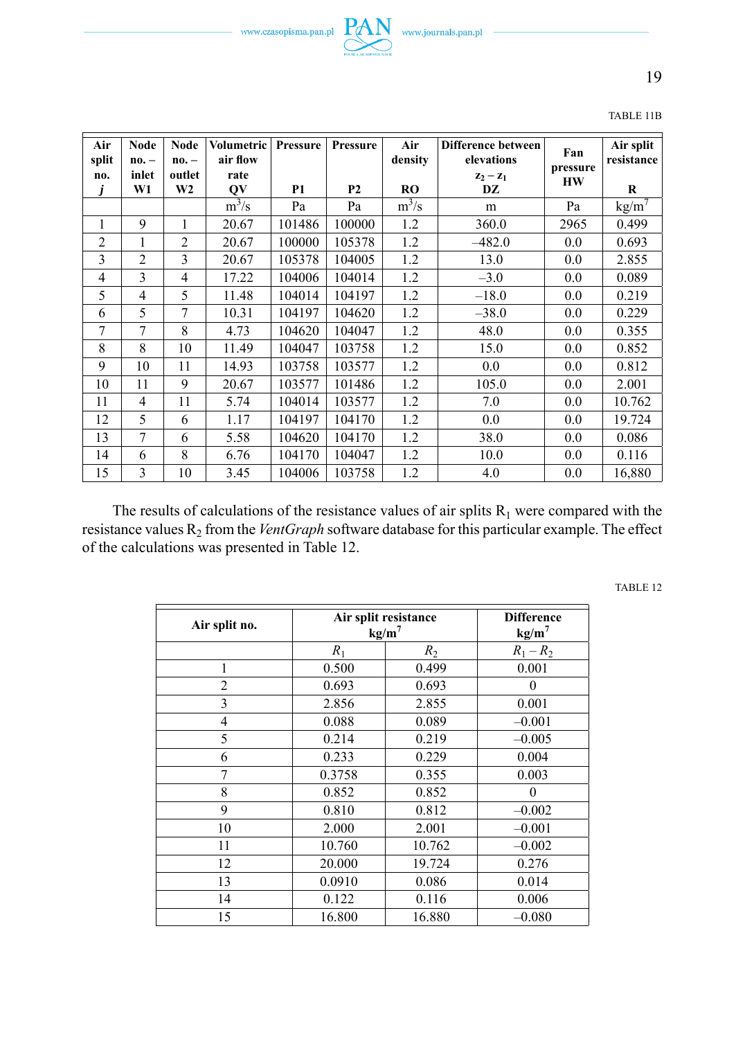

TABLE 11B

| Air<br>split   | <b>Node</b><br>$no. -$<br>inlet | <b>Node</b><br>$no. -$<br>outlet | Volumetric<br>air flow<br>rate | Pressure  | Pressure       | Air<br>density | <b>Difference between</b><br>elevations | Fan<br>pressure | Air split<br>resistance |
|----------------|---------------------------------|----------------------------------|--------------------------------|-----------|----------------|----------------|-----------------------------------------|-----------------|-------------------------|
| no.<br>j       | W1                              | W <sub>2</sub>                   | QV                             | <b>P1</b> | P <sub>2</sub> | <b>RO</b>      | $\mathbf{Z}_2 - \mathbf{Z}_1$<br>DZ     | <b>HW</b>       | R                       |
|                |                                 |                                  | $m^3/s$                        | Pa        | Pa             | $m^3/s$        | m                                       | Pa              | kg/m <sup>7</sup>       |
| 1              | 9                               | 1                                | 20.67                          | 101486    | 100000         | 1.2            | 360.0                                   | 2965            | 0.499                   |
| $\overline{2}$ | 1                               | $\overline{2}$                   | 20.67                          | 100000    | 105378         | 1.2            | $-482.0$                                | 0.0             | 0.693                   |
| 3              | $\overline{2}$                  | 3                                | 20.67                          | 105378    | 104005         | 1.2            | 13.0                                    | 0.0             | 2.855                   |
| $\overline{4}$ | 3                               | $\overline{4}$                   | 17.22                          | 104006    | 104014         | 1.2            | $-3.0$                                  | 0.0             | 0.089                   |
| 5              | $\overline{4}$                  | 5                                | 11.48                          | 104014    | 104197         | 1.2            | $-18.0$                                 | 0.0             | 0.219                   |
| 6              | 5                               | 7                                | 10.31                          | 104197    | 104620         | 1.2            | $-38.0$                                 | 0.0             | 0.229                   |
| 7              | 7                               | 8                                | 4.73                           | 104620    | 104047         | 1.2            | 48.0                                    | 0.0             | 0.355                   |
| 8              | 8                               | 10                               | 11.49                          | 104047    | 103758         | 1.2            | 15.0                                    | 0.0             | 0.852                   |
| 9              | 10                              | 11                               | 14.93                          | 103758    | 103577         | 1.2            | 0.0                                     | 0.0             | 0.812                   |
| 10             | 11                              | 9                                | 20.67                          | 103577    | 101486         | 1.2            | 105.0                                   | 0.0             | 2.001                   |
| 11             | $\overline{4}$                  | 11                               | 5.74                           | 104014    | 103577         | 1.2            | 7.0                                     | $0.0\,$         | 10.762                  |
| 12             | 5                               | 6                                | 1.17                           | 104197    | 104170         | 1.2            | 0.0                                     | $0.0\,$         | 19.724                  |
| 13             | $\overline{7}$                  | 6                                | 5.58                           | 104620    | 104170         | 1.2            | 38.0                                    | 0.0             | 0.086                   |
| 14             | 6                               | 8                                | 6.76                           | 104170    | 104047         | 1.2            | 10.0                                    | 0.0             | 0.116                   |
| 15             | 3                               | 10                               | 3.45                           | 104006    | 103758         | 1.2            | 4.0                                     | 0.0             | 16,880                  |

The results of calculations of the resistance values of air splits  $R_1$  were compared with the resistance values R2 from the *VentGraph* software database for this particular example. The effect of the calculations was presented in Table 12.

TABLE 12

| Air split no.  |        | Air split resistance<br>kg/m <sup>7</sup> | <b>Difference</b><br>kg/m <sup>7</sup> |
|----------------|--------|-------------------------------------------|----------------------------------------|
|                | $R_1$  | $R_{2}$                                   | $R_1 - R_2$                            |
| 1              | 0.500  | 0.499                                     | 0.001                                  |
| $\overline{2}$ | 0.693  | 0.693                                     | $\theta$                               |
| 3              | 2.856  | 2.855                                     | 0.001                                  |
| 4              | 0.088  | 0.089                                     | $-0.001$                               |
| 5              | 0.214  | 0.219                                     | $-0.005$                               |
| 6              | 0.233  | 0.229                                     | 0.004                                  |
| 7              | 0.3758 | 0.355                                     | 0.003                                  |
| 8              | 0.852  | 0.852                                     | $\theta$                               |
| 9              | 0.810  | 0.812                                     | $-0.002$                               |
| 10             | 2.000  | 2.001                                     | $-0.001$                               |
| 11             | 10.760 | 10.762                                    | $-0.002$                               |
| 12             | 20.000 | 19.724                                    | 0.276                                  |
| 13             | 0.0910 | 0.086                                     | 0.014                                  |
| 14             | 0.122  | 0.116                                     | 0.006                                  |
| 15             | 16.800 | 16.880                                    | $-0.080$                               |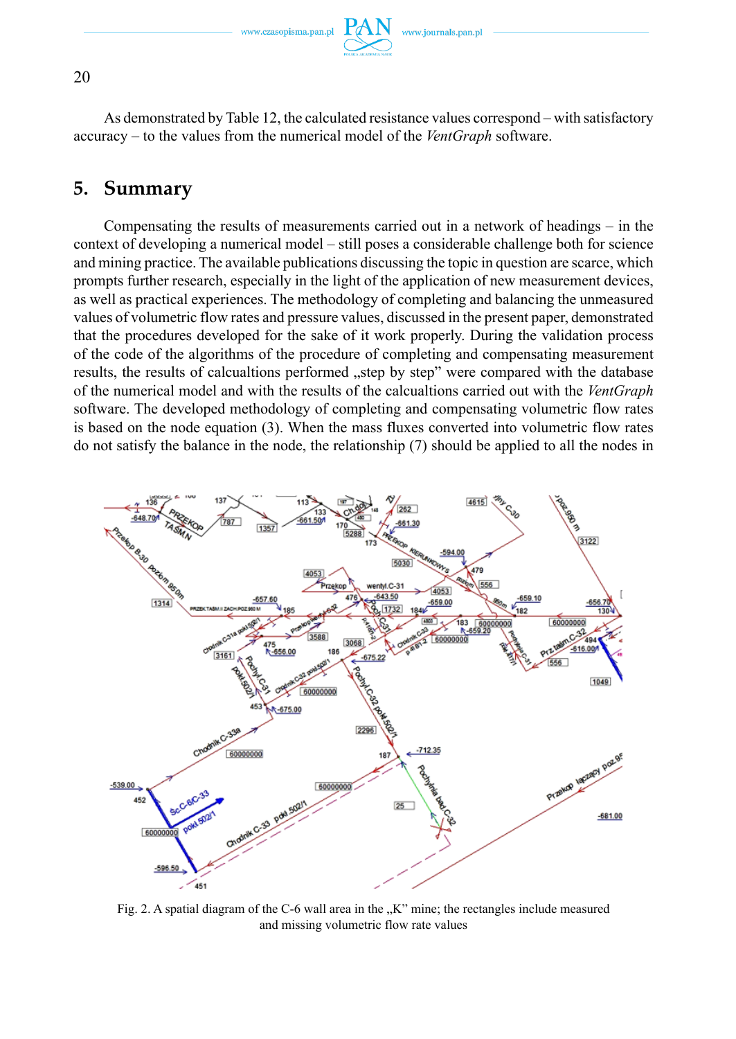www.czasopisma.pan.pl



As demonstrated by Table 12, the calculated resistance values correspond – with satisfactory accuracy – to the values from the numerical model of the *VentGraph* software.

### **5. Summary**

Compensating the results of measurements carried out in a network of headings – in the context of developing a numerical model – still poses a considerable challenge both for science and mining practice. The available publications discussing the topic in question are scarce, which prompts further research, especially in the light of the application of new measurement devices, as well as practical experiences. The methodology of completing and balancing the unmeasured values of volumetric flow rates and pressure values, discussed in the present paper, demonstrated that the procedures developed for the sake of it work properly. During the validation process of the code of the algorithms of the procedure of completing and compensating measurement results, the results of calcualtions performed "step by step" were compared with the database of the numerical model and with the results of the calcualtions carried out with the *VentGraph* software. The developed methodology of completing and compensating volumetric flow rates is based on the node equation (3). When the mass fluxes converted into volumetric flow rates do not satisfy the balance in the node, the relationship (7) should be applied to all the nodes in



Fig. 2. A spatial diagram of the C-6 wall area in the  $K<sup>n</sup>$  mine; the rectangles include measured and missing volumetric flow rate values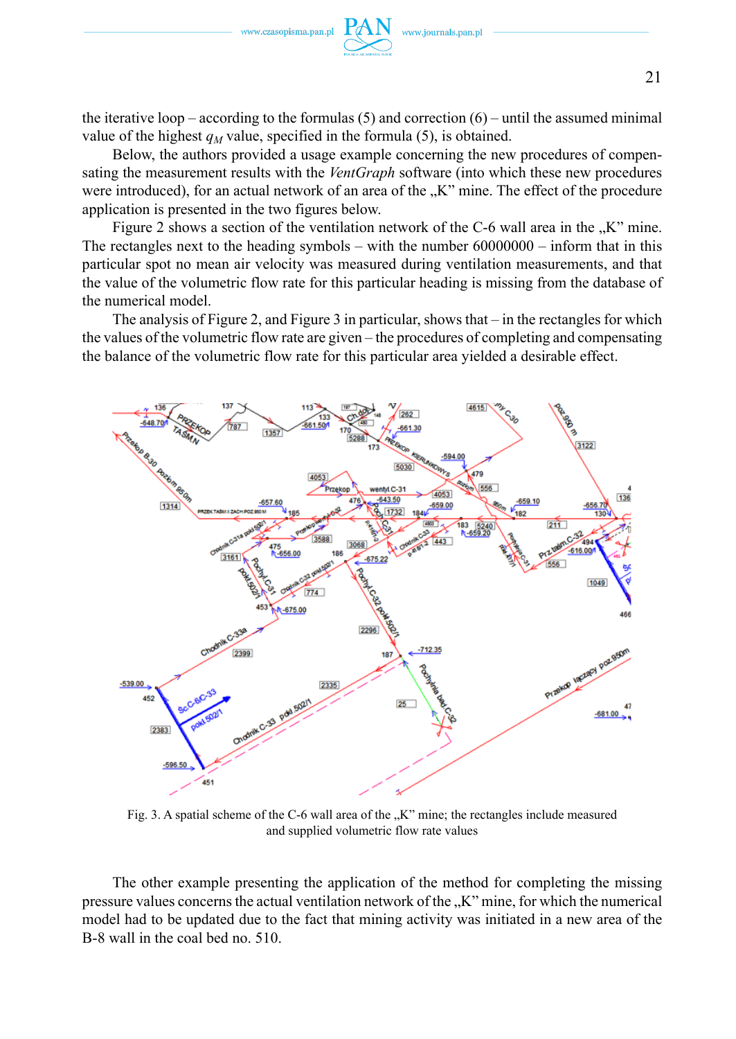the iterative loop – according to the formulas  $(5)$  and correction  $(6)$  – until the assumed minimal value of the highest  $q_M$  value, specified in the formula (5), is obtained.

Below, the authors provided a usage example concerning the new procedures of compensating the measurement results with the *VentGraph* software (into which these new procedures were introduced), for an actual network of an area of the  $K''$  mine. The effect of the procedure application is presented in the two figures below.

Figure 2 shows a section of the ventilation network of the C-6 wall area in the  $K''$  mine. The rectangles next to the heading symbols – with the number  $60000000 -$  inform that in this particular spot no mean air velocity was measured during ventilation measurements, and that the value of the volumetric flow rate for this particular heading is missing from the database of the numerical model.

The analysis of Figure 2, and Figure 3 in particular, shows that – in the rectangles for which the values of the volumetric flow rate are given – the procedures of completing and compensating the balance of the volumetric flow rate for this particular area yielded a desirable effect.



Fig. 3. A spatial scheme of the C-6 wall area of the "K" mine; the rectangles include measured and supplied volumetric flow rate values

The other example presenting the application of the method for completing the missing pressure values concerns the actual ventilation network of the  $K<sup>n</sup>$  mine, for which the numerical model had to be updated due to the fact that mining activity was initiated in a new area of the B-8 wall in the coal bed no. 510.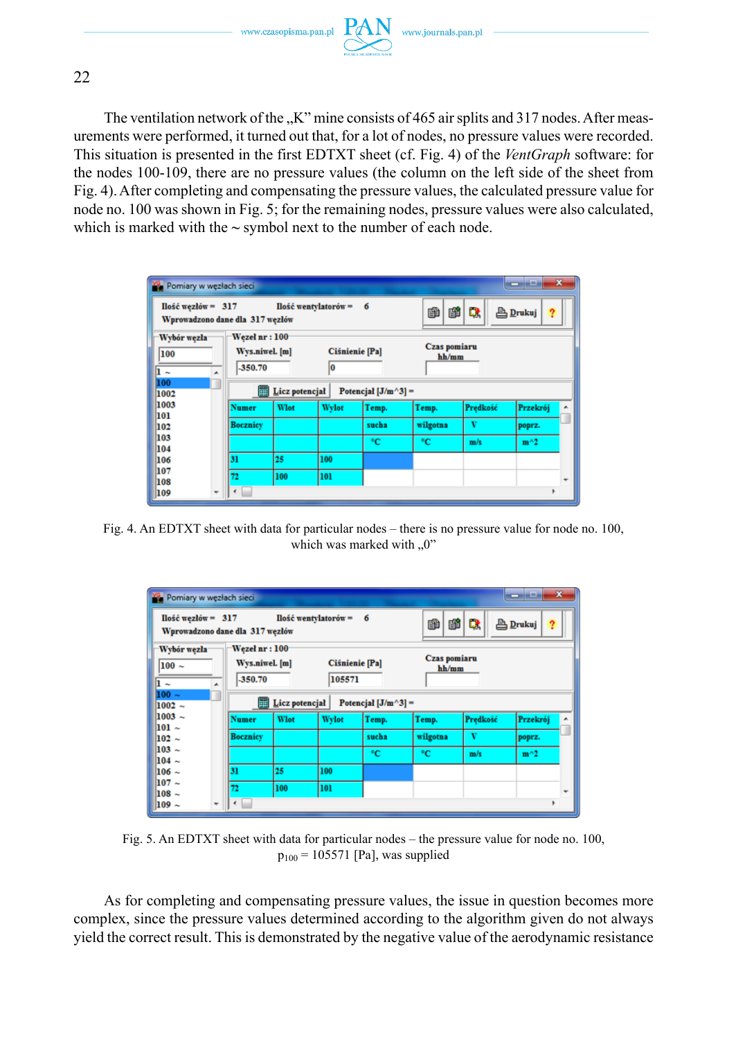

The ventilation network of the  $\mu$ K" mine consists of 465 air splits and 317 nodes. After measurements were performed, it turned out that, for a lot of nodes, no pressure values were recorded. This situation is presented in the first EDTXT sheet (cf. Fig. 4) of the *VentGraph* software: for the nodes 100-109, there are no pressure values (the column on the left side of the sheet from Fig. 4). After completing and compensating the pressure values, the calculated pressure value for node no. 100 was shown in Fig. 5; for the remaining nodes, pressure values were also calculated, which is marked with the  $\sim$  symbol next to the number of each node.

| $\mathbf x$<br>Ya, Pomiary w węzłach sieci<br>$\blacksquare$                                                                               |  |                 |                |       |                       |          |          |          |   |
|--------------------------------------------------------------------------------------------------------------------------------------------|--|-----------------|----------------|-------|-----------------------|----------|----------|----------|---|
| Ilość węzłów = $317$<br>Ilość wentylatorów =<br>6<br>D.<br>嚻<br>嚻<br>Drukuj<br>凸<br>2<br>Wprowadzono dane dla 317 węzłów                   |  |                 |                |       |                       |          |          |          |   |
| Wezel nr: 100<br>Wybór wezła<br>Czas pomiaru<br>Wys.niwel. [m]<br>Ciśnienie [Pa]<br>100<br>hh/mm<br>$-350.70$<br>10<br>$\mathbf{1}$ $\sim$ |  |                 |                |       |                       |          |          |          |   |
| 100<br>1002                                                                                                                                |  | 量               | Licz potencjał |       | Potencjał $[J/m^3]$ = |          |          |          |   |
| 1003<br>101                                                                                                                                |  | <b>Numer</b>    | Wlot           | Wylot | Temp.                 | Temp.    | Predkość | Przekrój | ۸ |
| 102                                                                                                                                        |  | <b>Bocznicy</b> |                |       | sucha                 | wilgotna | v        | poprz.   |   |
| 103<br>104                                                                                                                                 |  |                 |                |       | °C                    | ۰c       | m/s      | $m^2$    |   |
| 106                                                                                                                                        |  | 31              | 25             | 100   |                       |          |          |          |   |
| 107<br>108                                                                                                                                 |  | 72              | 100            | 101   |                       |          |          |          |   |
| $\ 109\ $                                                                                                                                  |  | $\epsilon$      |                |       |                       |          |          |          |   |

Fig. 4. An EDTXT sheet with data for particular nodes – there is no pressure value for node no. 100, which was marked with  $.0$ "

| $\mathbf x$<br>Pomiary w wezłach sieci                                                                                          |                 |                |       |                       |          |          |          |  |
|---------------------------------------------------------------------------------------------------------------------------------|-----------------|----------------|-------|-----------------------|----------|----------|----------|--|
| $Ilość wezlów = 317$<br>Ilość wentylatorów =<br>6<br>D.<br>鹛<br>嚻<br>D <sub>rukuj</sub><br>2<br>Wprowadzono dane dla 317 wezłów |                 |                |       |                       |          |          |          |  |
| Wezel nr: 100<br>Wybór węzła<br>Czas pomiaru<br>Ciśnienie [Pa]<br>Wys.niwel. [m]<br>$100 \sim$<br>hh/mm<br>-350.70<br>105571    |                 |                |       |                       |          |          |          |  |
| $100 -$<br>$1002 -$                                                                                                             | 量               | Licz potencjał |       | Potencjał $[J/m^3] =$ |          |          |          |  |
| $1003 -$                                                                                                                        | <b>Numer</b>    | Wlot           | Wylot | Temp.                 | Temp.    | Predkość | Przekrój |  |
| $101 -$<br>$102 -$                                                                                                              | <b>Bocznicy</b> |                |       | sucha                 | wilgotna | v        | poprz.   |  |
| $103 -$<br>$104 -$                                                                                                              |                 |                |       | $^{\circ}$ C          | °C       | m/s      | $m^2$    |  |
| $106 \sim$                                                                                                                      | 31              | 25             | 100   |                       |          |          |          |  |
| $107 -$<br>$108 -$                                                                                                              | 72              | 100            | 101   |                       |          |          |          |  |
| 109                                                                                                                             | $\epsilon$      |                |       |                       |          |          |          |  |

Fig. 5. An EDTXT sheet with data for particular nodes – the pressure value for node no. 100,  $p_{100} = 105571$  [Pa], was supplied

As for completing and compensating pressure values, the issue in question becomes more complex, since the pressure values determined according to the algorithm given do not always yield the correct result. This is demonstrated by the negative value of the aerodynamic resistance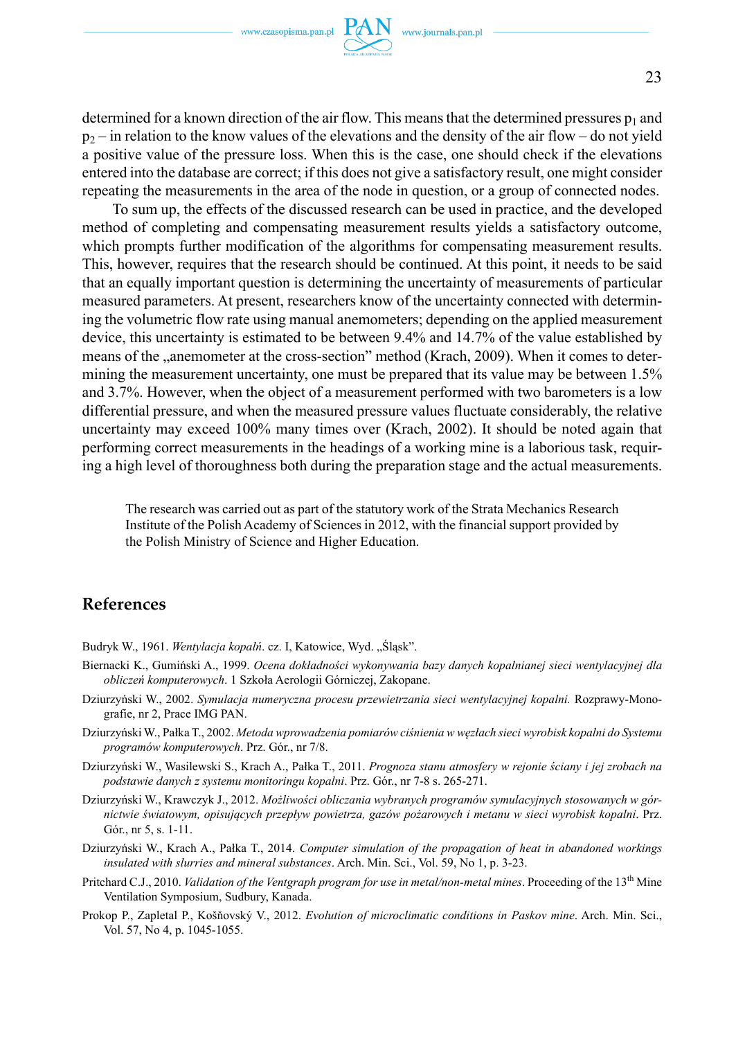

determined for a known direction of the air flow. This means that the determined pressures  $p_1$  and  $p_2$  – in relation to the know values of the elevations and the density of the air flow – do not yield a positive value of the pressure loss. When this is the case, one should check if the elevations entered into the database are correct; if this does not give a satisfactory result, one might consider repeating the measurements in the area of the node in question, or a group of connected nodes.

To sum up, the effects of the discussed research can be used in practice, and the developed method of completing and compensating measurement results yields a satisfactory outcome, which prompts further modification of the algorithms for compensating measurement results. This, however, requires that the research should be continued. At this point, it needs to be said that an equally important question is determining the uncertainty of measurements of particular measured parameters. At present, researchers know of the uncertainty connected with determining the volumetric flow rate using manual anemometers; depending on the applied measurement device, this uncertainty is estimated to be between 9.4% and 14.7% of the value established by means of the <sub>"a</sub>nemometer at the cross-section" method (Krach, 2009). When it comes to determining the measurement uncertainty, one must be prepared that its value may be between 1.5% and 3.7%. However, when the object of a measurement performed with two barometers is a low differential pressure, and when the measured pressure values fluctuate considerably, the relative uncertainty may exceed 100% many times over (Krach, 2002). It should be noted again that performing correct measurements in the headings of a working mine is a laborious task, requiring a high level of thoroughness both during the preparation stage and the actual measurements.

The research was carried out as part of the statutory work of the Strata Mechanics Research Institute of the Polish Academy of Sciences in 2012, with the financial support provided by the Polish Ministry of Science and Higher Education.

### **References**

Budryk W., 1961. *Wentylacja kopalń*. cz. I, Katowice, Wyd. "Śląsk".

- Biernacki K., Gumiński A., 1999. *Ocena dokładności wykonywania bazy danych kopalnianej sieci wentylacyjnej dla obliczeń komputerowych*. 1 Szkoła Aerologii Górniczej, Zakopane.
- Dziurzyński W., 2002. *Symulacja numeryczna procesu przewietrzania sieci wentylacyjnej kopalni.* Rozprawy-Monografie, nr 2, Prace IMG PAN.
- Dziurzyński W., Pałka T., 2002. *Metoda wprowadzenia pomiarów ciśnienia w węzłach sieci wyrobisk kopalni do Systemu programów komputerowych*. Prz. Gór., nr 7/8.
- Dziurzyński W., Wasilewski S., Krach A., Pałka T., 2011. *Prognoza stanu atmosfery w rejonie ściany i jej zrobach na podstawie danych z systemu monitoringu kopalni*. Prz. Gór., nr 7-8 s. 265-271.
- Dziurzyński W., Krawczyk J., 2012. *Możliwości obliczania wybranych programów symulacyjnych stosowanych w górnictwie światowym, opisujących przepływ powietrza, gazów pożarowych i metanu w sieci wyrobisk kopalni*. Prz. Gór., nr 5, s. 1-11.
- Dziurzyński W., Krach A., Pałka T., 2014. *Computer simulation of the propagation of heat in abandoned workings insulated with slurries and mineral substances*. Arch. Min. Sci., Vol. 59, No 1, p. 3-23.
- Pritchard C.J., 2010. *Validation of the Ventgraph program for use in metal/non-metal mines*. Proceeding of the 13<sup>th</sup> Mine Ventilation Symposium, Sudbury, Kanada.
- Prokop P., Zapletal P., Košňovský V., 2012. *Evolution of microclimatic conditions in Paskov mine*. Arch. Min. Sci., Vol. 57, No 4, p. 1045-1055.